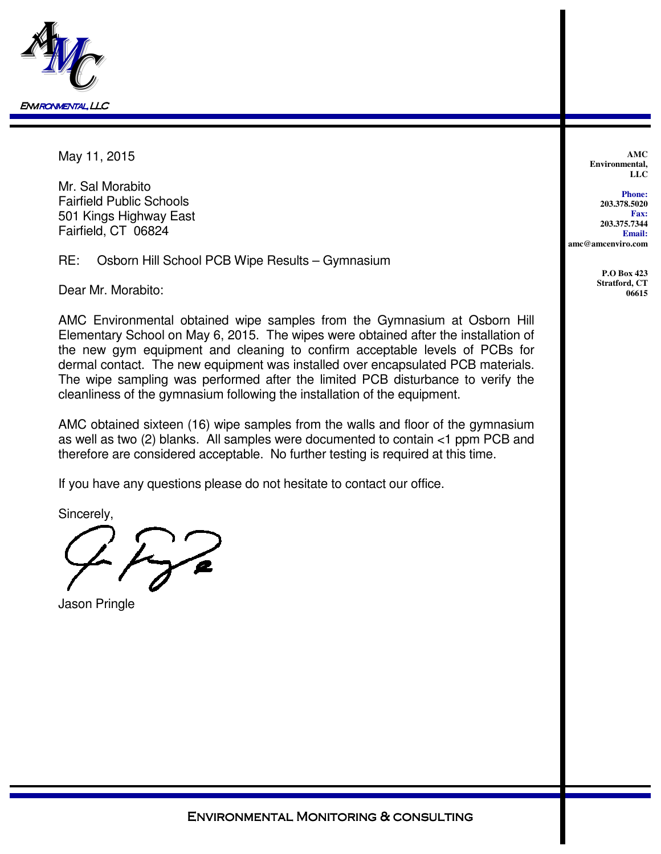

May 11, 2015

Mr. Sal Morabito Fairfield Public Schools 501 Kings Highway East Fairfield, CT 06824

RE: Osborn Hill School PCB Wipe Results – Gymnasium

Dear Mr. Morabito:

AMC Environmental obtained wipe samples from the Gymnasium at Osborn Hill Elementary School on May 6, 2015. The wipes were obtained after the installation of the new gym equipment and cleaning to confirm acceptable levels of PCBs for dermal contact. The new equipment was installed over encapsulated PCB materials. The wipe sampling was performed after the limited PCB disturbance to verify the cleanliness of the gymnasium following the installation of the equipment.

AMC obtained sixteen (16) wipe samples from the walls and floor of the gymnasium as well as two (2) blanks. All samples were documented to contain <1 ppm PCB and therefore are considered acceptable. No further testing is required at this time.

If you have any questions please do not hesitate to contact our office.

Sincerely,

Jason Pringle

**AMC Environmental, LLC**

**Phone: 203.378.5020 Fax: 203.375.7344 Email: amc@amcenviro.com** 

> **P.O Box 423 Stratford, CT 06615**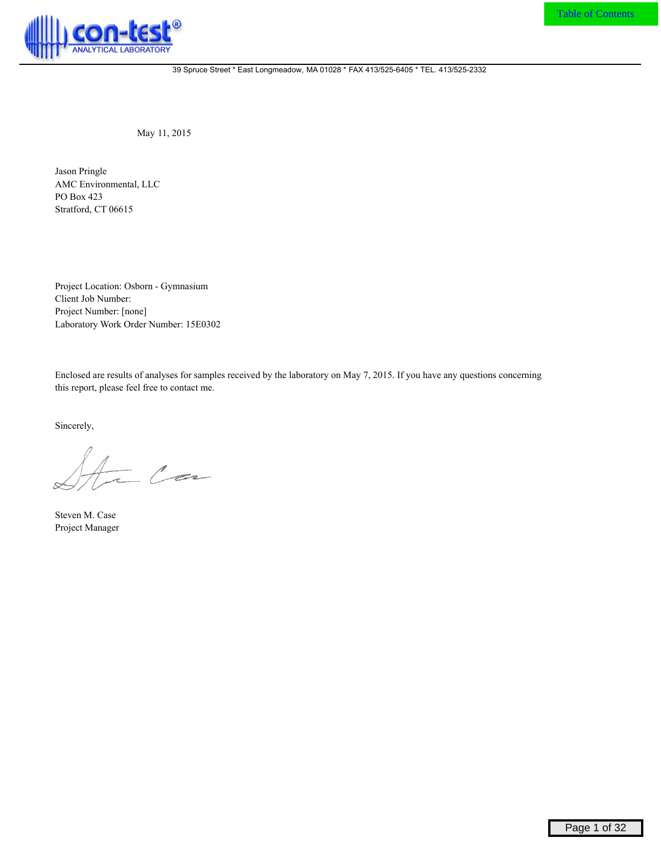

May 11, 2015

Jason Pringle AMC Environmental, LLC PO Box 423 Stratford, CT 06615

Project Location: Osborn - Gymnasium Client Job Number: Project Number: [none] Laboratory Work Order Number: 15E0302

Enclosed are results of analyses for samples received by the laboratory on May 7, 2015. If you have any questions concerning this report, please feel free to contact me.

Sincerely,

 $C_{\infty}$ 

Steven M. Case Project Manager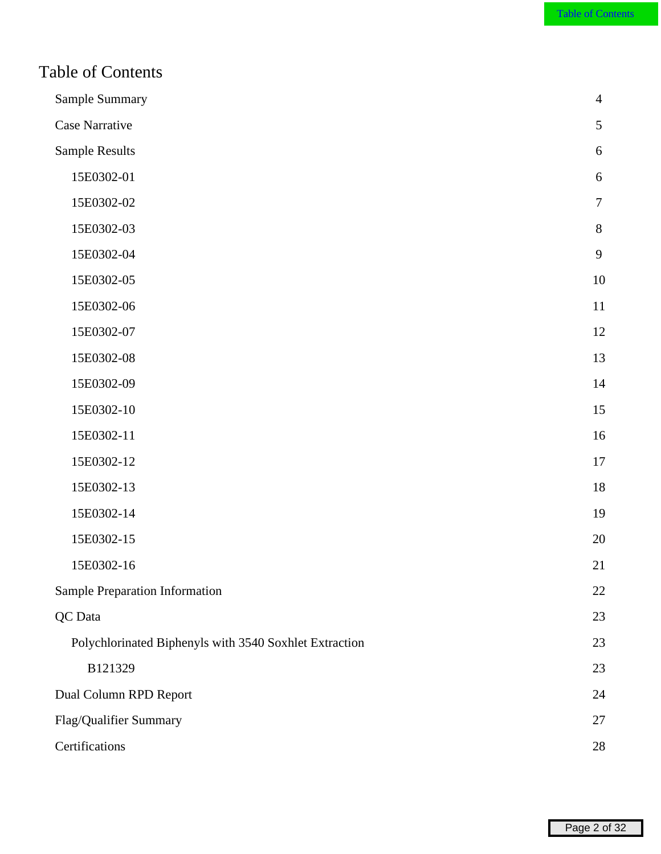<span id="page-2-0"></span>

| Sample Summary                                         | $\overline{4}$   |
|--------------------------------------------------------|------------------|
| Case Narrative                                         | 5                |
| Sample Results                                         | $6\,$            |
| 15E0302-01                                             | $\boldsymbol{6}$ |
| 15E0302-02                                             | $\overline{7}$   |
| 15E0302-03                                             | $8\,$            |
| 15E0302-04                                             | 9                |
| 15E0302-05                                             | 10               |
| 15E0302-06                                             | 11               |
| 15E0302-07                                             | 12               |
| 15E0302-08                                             | 13               |
| 15E0302-09                                             | 14               |
| 15E0302-10                                             | 15               |
| 15E0302-11                                             | 16               |
| 15E0302-12                                             | $17\,$           |
| 15E0302-13                                             | 18               |
| 15E0302-14                                             | 19               |
| 15E0302-15                                             | 20               |
| 15E0302-16                                             | 21               |
| Sample Preparation Information                         | 22               |
| QC Data                                                | 23               |
| Polychlorinated Biphenyls with 3540 Soxhlet Extraction | 23               |
| B121329                                                | 23               |
| Dual Column RPD Report                                 | 24               |
| Flag/Qualifier Summary                                 | 27               |
| Certifications                                         | 28               |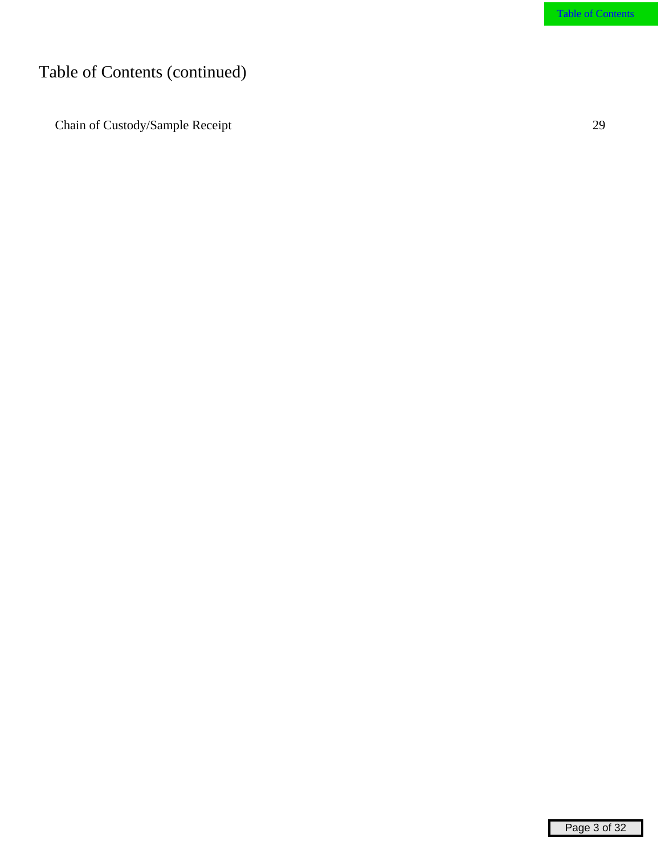# Table of Contents (continued)

 [Chain of Custody/Sample Receipt](#page-29-0) 29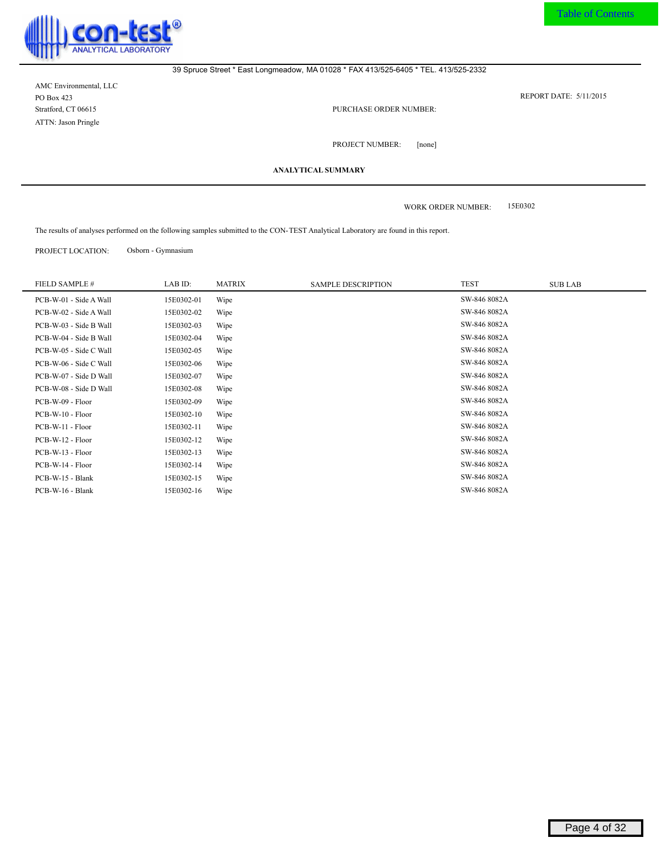<span id="page-4-0"></span>

AMC Environmental, LLC PO Box 423 Stratford, CT 06615 ATTN: Jason Pringle

5/11/2015 REPORT DATE:

PURCHASE ORDER NUMBER:

[none] PROJECT NUMBER:

**ANALYTICAL SUMMARY**

15E0302 WORK ORDER NUMBER:

The results of analyses performed on the following samples submitted to the CON-TEST Analytical Laboratory are found in this report.

PROJECT LOCATION: Osborn - Gymnasium

| FIELD SAMPLE #         | LAB ID:    | <b>MATRIX</b> | <b>SAMPLE DESCRIPTION</b> | <b>TEST</b>  | <b>SUB LAB</b> |
|------------------------|------------|---------------|---------------------------|--------------|----------------|
| PCB-W-01 - Side A Wall | 15E0302-01 | Wipe          |                           | SW-846 8082A |                |
| PCB-W-02 - Side A Wall | 15E0302-02 | Wipe          |                           | SW-846 8082A |                |
| PCB-W-03 - Side B Wall | 15E0302-03 | Wipe          |                           | SW-846 8082A |                |
| PCB-W-04 - Side B Wall | 15E0302-04 | Wipe          |                           | SW-846 8082A |                |
| PCB-W-05 - Side C Wall | 15E0302-05 | Wipe          |                           | SW-846 8082A |                |
| PCB-W-06 - Side C Wall | 15E0302-06 | Wipe          |                           | SW-846 8082A |                |
| PCB-W-07 - Side D Wall | 15E0302-07 | Wipe          |                           | SW-846 8082A |                |
| PCB-W-08 - Side D Wall | 15E0302-08 | Wipe          |                           | SW-846 8082A |                |
| PCB-W-09 - Floor       | 15E0302-09 | Wipe          |                           | SW-846 8082A |                |
| PCB-W-10 - Floor       | 15E0302-10 | Wipe          |                           | SW-846 8082A |                |
| PCB-W-11 - Floor       | 15E0302-11 | Wipe          |                           | SW-846 8082A |                |
| PCB-W-12 - Floor       | 15E0302-12 | Wipe          |                           | SW-846 8082A |                |
| PCB-W-13 - Floor       | 15E0302-13 | Wipe          |                           | SW-846 8082A |                |
| PCB-W-14 - Floor       | 15E0302-14 | Wipe          |                           | SW-846 8082A |                |
| PCB-W-15 - Blank       | 15E0302-15 | Wipe          |                           | SW-846 8082A |                |
| PCB-W-16 - Blank       | 15E0302-16 | Wipe          |                           | SW-846 8082A |                |
|                        |            |               |                           |              |                |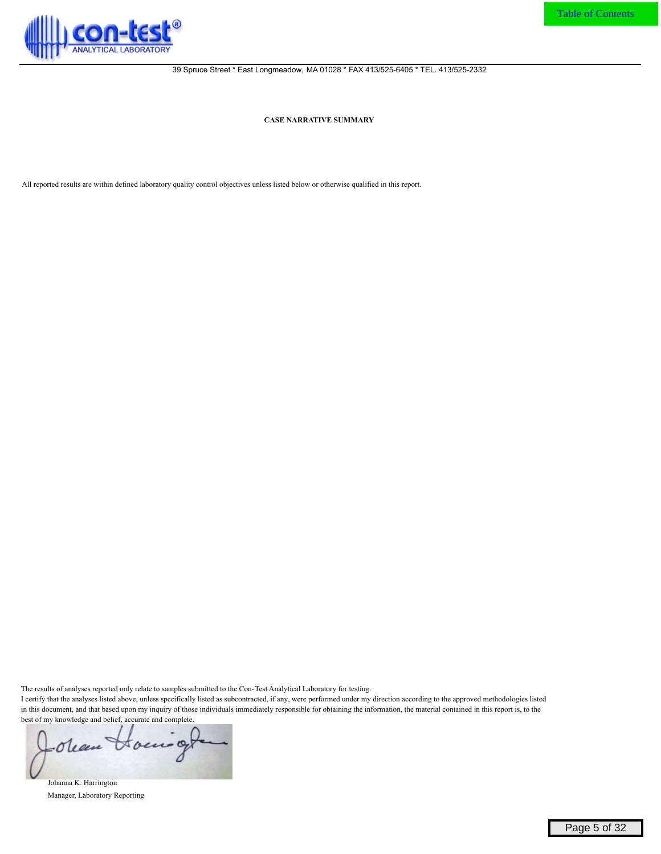<span id="page-5-0"></span>

**CASE NARRATIVE SUMMARY**

All reported results are within defined laboratory quality control objectives unless listed below or otherwise qualified in this report.

The results of analyses reported only relate to samples submitted to the Con-Test Analytical Laboratory for testing.

I certify that the analyses listed above, unless specifically listed as subcontracted, if any, were performed under my direction according to the approved methodologies listed in this document, and that based upon my inquiry of those individuals immediately responsible for obtaining the information, the material contained in this report is, to the best of my knowledge and belief, accurate and complete.

-Olean Hours

Johanna K. Harrington Manager, Laboratory Reporting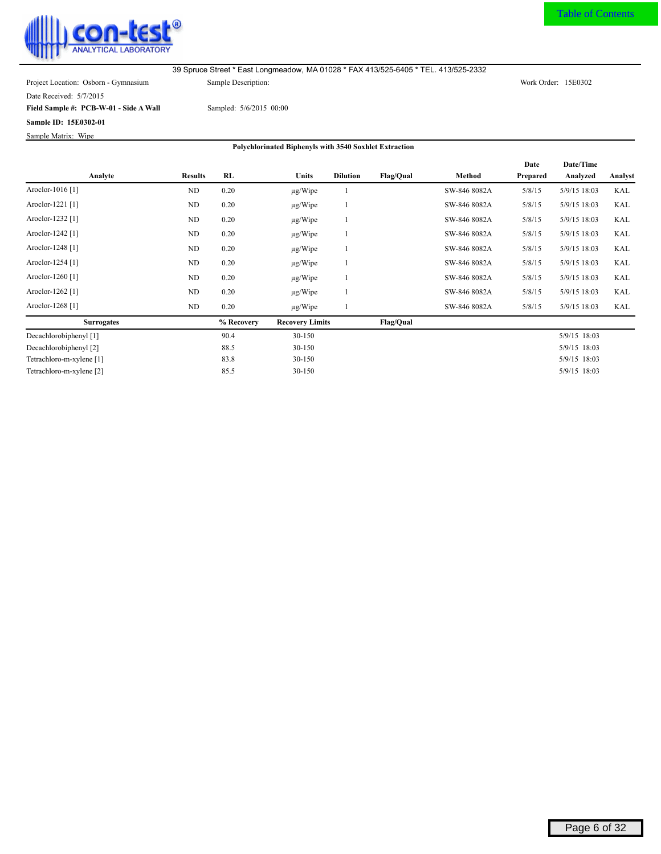<span id="page-6-0"></span>

Date Received: 5/7/2015

**Field Sample #: PCB-W-01 - Side A Wall**

**Sample ID: 15E0302-01**

Sample Matrix: Wipe

Sampled: 5/6/2015 00:00

|                             |                |            |                        |                 |                  |              | Date     | Date/Time      |            |
|-----------------------------|----------------|------------|------------------------|-----------------|------------------|--------------|----------|----------------|------------|
| Analyte                     | <b>Results</b> | RL         | <b>Units</b>           | <b>Dilution</b> | Flag/Qual        | Method       | Prepared | Analyzed       | Analyst    |
| Aroclor-1016 <sup>[1]</sup> | ND             | 0.20       | $\mu$ g/Wipe           |                 |                  | SW-846 8082A | 5/8/15   | 5/9/15 18:03   | <b>KAL</b> |
| Aroclor-1221 [1]            | ND             | 0.20       | $\mu$ g/Wipe           |                 |                  | SW-846 8082A | 5/8/15   | $5/9/15$ 18:03 | <b>KAL</b> |
| Aroclor-1232 <sup>[1]</sup> | ND             | 0.20       | $\mu$ g/Wipe           |                 |                  | SW-846 8082A | 5/8/15   | 5/9/15 18:03   | <b>KAL</b> |
| Aroclor-1242 [1]            | ND             | 0.20       | $\mu$ g/Wipe           |                 |                  | SW-846 8082A | 5/8/15   | $5/9/15$ 18:03 | <b>KAL</b> |
| Aroclor-1248 <sup>[1]</sup> | ND             | 0.20       | $\mu$ g/Wipe           |                 |                  | SW-846 8082A | 5/8/15   | 5/9/15 18:03   | <b>KAL</b> |
| Aroclor-1254 [1]            | ND             | 0.20       | $\mu$ g/Wipe           |                 |                  | SW-846 8082A | 5/8/15   | 5/9/15 18:03   | <b>KAL</b> |
| Aroclor-1260 <sup>[1]</sup> | ND             | 0.20       | $\mu$ g/Wipe           |                 |                  | SW-846 8082A | 5/8/15   | 5/9/15 18:03   | <b>KAL</b> |
| Aroclor-1262 [1]            | ND             | 0.20       | $\mu$ g/Wipe           |                 |                  | SW-846 8082A | 5/8/15   | 5/9/15 18:03   | <b>KAL</b> |
| Aroclor-1268 <sup>[1]</sup> | ND             | 0.20       | $\mu$ g/Wipe           |                 |                  | SW-846 8082A | 5/8/15   | 5/9/15 18:03   | KAL        |
| <b>Surrogates</b>           |                | % Recovery | <b>Recovery Limits</b> |                 | <b>Flag/Qual</b> |              |          |                |            |
| Decachlorobiphenyl [1]      |                | 90.4       | 30-150                 |                 |                  |              |          | 5/9/15 18:03   |            |
| Decachlorobiphenyl [2]      |                | 88.5       | 30-150                 |                 |                  |              |          | 5/9/15 18:03   |            |
| Tetrachloro-m-xylene [1]    |                | 83.8       | 30-150                 |                 |                  |              |          | 5/9/15 18:03   |            |
| Tetrachloro-m-xylene [2]    |                | 85.5       | 30-150                 |                 |                  |              |          | 5/9/15 18:03   |            |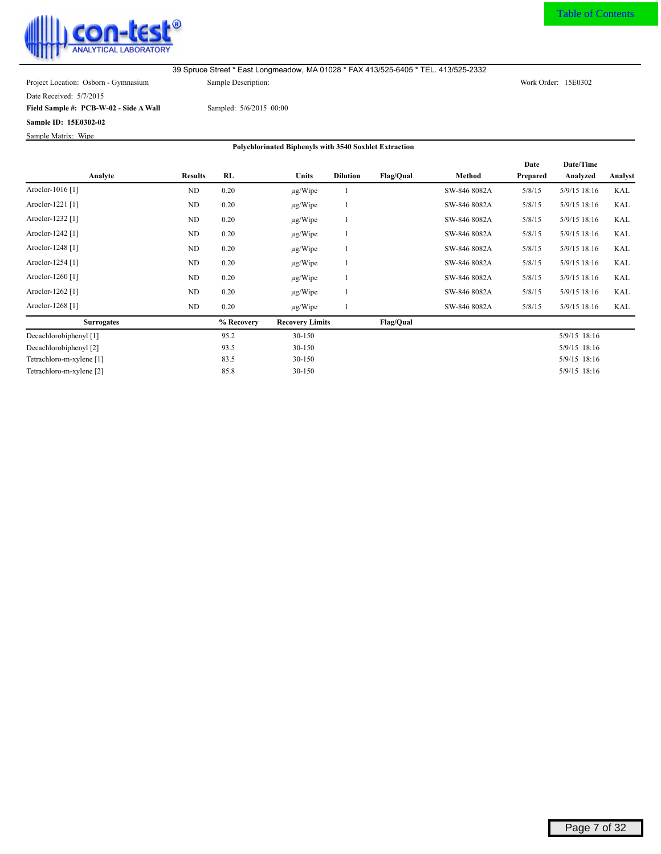<span id="page-7-0"></span>

[Table of Contents](#page-2-0)

Date Received: 5/7/2015

**Field Sample #: PCB-W-02 - Side A Wall**

**Sample ID: 15E0302-02**

Sample Matrix: Wipe

Sampled: 5/6/2015 00:00

|                             |                |            |                        |                 |                  |              | Date     | Date/Time      |            |
|-----------------------------|----------------|------------|------------------------|-----------------|------------------|--------------|----------|----------------|------------|
| Analyte                     | <b>Results</b> | RL         | Units                  | <b>Dilution</b> | <b>Flag/Qual</b> | Method       | Prepared | Analyzed       | Analyst    |
| Aroclor-1016 [1]            | ND             | 0.20       | $\mu$ g/Wipe           |                 |                  | SW-846 8082A | 5/8/15   | 5/9/15 18:16   | <b>KAL</b> |
| Aroclor-1221 [1]            | ND             | 0.20       | $\mu$ g/Wipe           |                 |                  | SW-846 8082A | 5/8/15   | 5/9/15 18:16   | <b>KAL</b> |
| Aroclor-1232 <sup>[1]</sup> | ND             | 0.20       | $\mu$ g/Wipe           |                 |                  | SW-846 8082A | 5/8/15   | 5/9/15 18:16   | <b>KAL</b> |
| Aroclor-1242 [1]            | ND             | 0.20       | $\mu$ g/Wipe           |                 |                  | SW-846 8082A | 5/8/15   | 5/9/15 18:16   | KAL        |
| Aroclor-1248 <sup>[1]</sup> | ND             | 0.20       | $\mu$ g/Wipe           |                 |                  | SW-846 8082A | 5/8/15   | 5/9/15 18:16   | <b>KAL</b> |
| Aroclor-1254 [1]            | ND             | 0.20       | $\mu$ g/Wipe           |                 |                  | SW-846 8082A | 5/8/15   | 5/9/15 18:16   | KAL        |
| Aroclor-1260 <sup>[1]</sup> | ND             | 0.20       | $\mu$ g/Wipe           |                 |                  | SW-846 8082A | 5/8/15   | 5/9/15 18:16   | <b>KAL</b> |
| Aroclor-1262 [1]            | ND             | 0.20       | $\mu$ g/Wipe           |                 |                  | SW-846 8082A | 5/8/15   | 5/9/15 18:16   | KAL        |
| Aroclor-1268 <sup>[1]</sup> | ND             | 0.20       | $\mu$ g/Wipe           |                 |                  | SW-846 8082A | 5/8/15   | 5/9/15 18:16   | KAL        |
| <b>Surrogates</b>           |                | % Recovery | <b>Recovery Limits</b> |                 | <b>Flag/Qual</b> |              |          |                |            |
| Decachlorobiphenyl [1]      |                | 95.2       | 30-150                 |                 |                  |              |          | 5/9/15 18:16   |            |
| Decachlorobiphenyl [2]      |                | 93.5       | 30-150                 |                 |                  |              |          | $5/9/15$ 18:16 |            |
| Tetrachloro-m-xylene [1]    |                | 83.5       | 30-150                 |                 |                  |              |          | 5/9/15 18:16   |            |
| Tetrachloro-m-xylene [2]    |                | 85.8       | 30-150                 |                 |                  |              |          | 5/9/15 18:16   |            |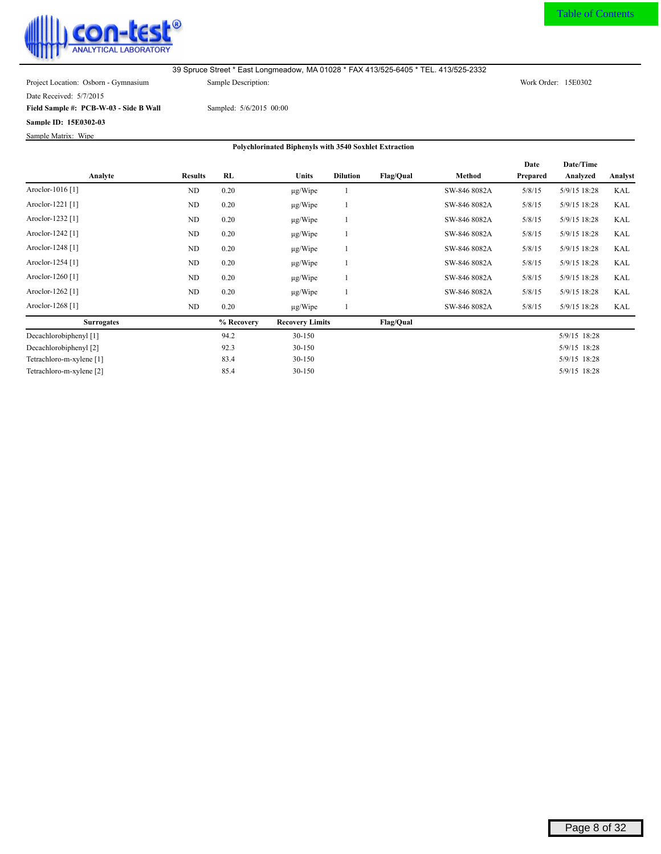<span id="page-8-0"></span>

[Table of Contents](#page-2-0)

Date Received: 5/7/2015

**Field Sample #: PCB-W-03 - Side B Wall**

**Sample ID: 15E0302-03**

Sample Matrix: Wipe

Sampled: 5/6/2015 00:00

|                             |                |            |                        |                 |                  |              | Date     | Date/Time    |            |
|-----------------------------|----------------|------------|------------------------|-----------------|------------------|--------------|----------|--------------|------------|
| Analyte                     | <b>Results</b> | <b>RL</b>  | <b>Units</b>           | <b>Dilution</b> | <b>Flag/Qual</b> | Method       | Prepared | Analyzed     | Analyst    |
| Aroclor-1016 <sup>[1]</sup> | N <sub>D</sub> | 0.20       | $\mu$ g/Wipe           |                 |                  | SW-846 8082A | 5/8/15   | 5/9/15 18:28 | KAL        |
| Aroclor-1221 [1]            | ND             | 0.20       | $\mu$ g/Wipe           |                 |                  | SW-846 8082A | 5/8/15   | 5/9/15 18:28 | KAL        |
| Aroclor-1232 [1]            | ND             | 0.20       | $\mu$ g/Wipe           |                 |                  | SW-846 8082A | 5/8/15   | 5/9/15 18:28 | <b>KAL</b> |
| Aroclor-1242 <sup>[1]</sup> | ND             | 0.20       | $\mu$ g/Wipe           |                 |                  | SW-846 8082A | 5/8/15   | 5/9/15 18:28 | KAL        |
| Aroclor-1248 <sup>[1]</sup> | ND             | 0.20       | $\mu$ g/Wipe           |                 |                  | SW-846 8082A | 5/8/15   | 5/9/15 18:28 | <b>KAL</b> |
| Aroclor-1254 [1]            | ND             | 0.20       | $\mu$ g/Wipe           |                 |                  | SW-846 8082A | 5/8/15   | 5/9/15 18:28 | KAL        |
| Aroclor-1260 <sup>[1]</sup> | ND             | 0.20       | $\mu$ g/Wipe           |                 |                  | SW-846 8082A | 5/8/15   | 5/9/15 18:28 | <b>KAL</b> |
| Aroclor-1262 [1]            | ND             | 0.20       | $\mu$ g/Wipe           |                 |                  | SW-846 8082A | 5/8/15   | 5/9/15 18:28 | KAL        |
| Aroclor-1268 <sup>[1]</sup> | ND             | 0.20       | $\mu$ g/Wipe           |                 |                  | SW-846 8082A | 5/8/15   | 5/9/15 18:28 | KAL        |
| <b>Surrogates</b>           |                | % Recovery | <b>Recovery Limits</b> |                 | <b>Flag/Qual</b> |              |          |              |            |
| Decachlorobiphenyl [1]      |                | 94.2       | 30-150                 |                 |                  |              |          | 5/9/15 18:28 |            |
| Decachlorobiphenyl [2]      |                | 92.3       | 30-150                 |                 |                  |              |          | 5/9/15 18:28 |            |
| Tetrachloro-m-xylene [1]    |                | 83.4       | 30-150                 |                 |                  |              |          | 5/9/15 18:28 |            |
| Tetrachloro-m-xylene [2]    |                | 85.4       | 30-150                 |                 |                  |              |          | 5/9/15 18:28 |            |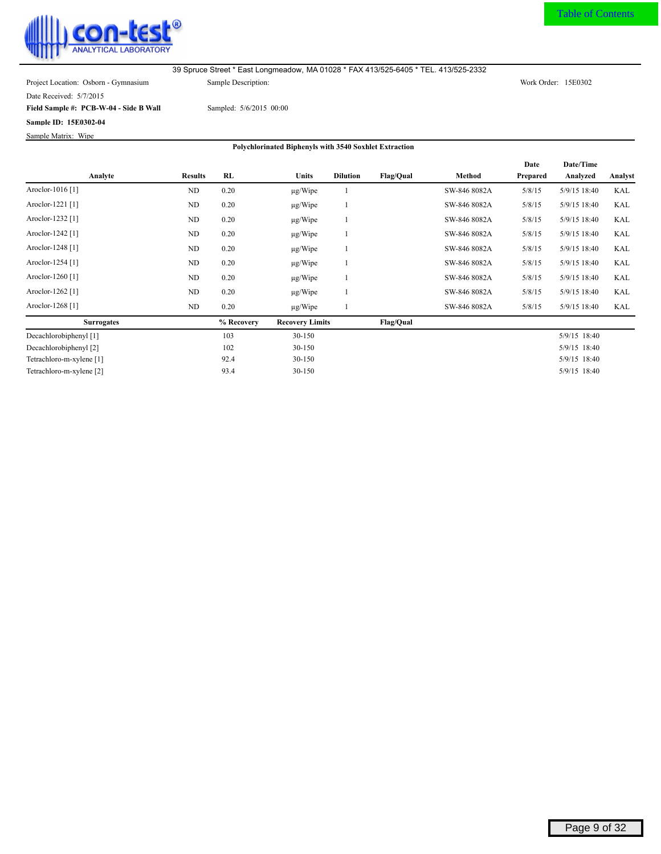<span id="page-9-0"></span>

[Table of Contents](#page-2-0)

Date Received: 5/7/2015

**Field Sample #: PCB-W-04 - Side B Wall**

**Sample ID: 15E0302-04**

Sample Matrix: Wipe

Sampled: 5/6/2015 00:00

|                             |                |            |                        |                 |                  |              | Date     | Date/Time      |         |
|-----------------------------|----------------|------------|------------------------|-----------------|------------------|--------------|----------|----------------|---------|
| Analyte                     | <b>Results</b> | RL         | <b>Units</b>           | <b>Dilution</b> | <b>Flag/Qual</b> | Method       | Prepared | Analyzed       | Analyst |
| Aroclor-1016 <sup>[1]</sup> | ND             | 0.20       | $\mu$ g/Wipe           |                 |                  | SW-846 8082A | 5/8/15   | 5/9/15 18:40   | KAL     |
| Aroclor-1221 [1]            | ND             | 0.20       | $\mu$ g/Wipe           |                 |                  | SW-846 8082A | 5/8/15   | $5/9/15$ 18:40 | KAL     |
| Aroclor-1232 <sup>[1]</sup> | ND             | 0.20       | $\mu$ g/Wipe           |                 |                  | SW-846 8082A | 5/8/15   | 5/9/15 18:40   | KAL     |
| Aroclor-1242 <sup>[1]</sup> | ND             | 0.20       | $\mu$ g/Wipe           |                 |                  | SW-846 8082A | 5/8/15   | $5/9/15$ 18:40 | KAL     |
| Aroclor-1248 <sup>[1]</sup> | ND             | 0.20       | $\mu$ g/Wipe           |                 |                  | SW-846 8082A | 5/8/15   | 5/9/15 18:40   | KAL     |
| Aroclor-1254 [1]            | ND             | 0.20       | $\mu$ g/Wipe           |                 |                  | SW-846 8082A | 5/8/15   | 5/9/15 18:40   | KAL     |
| Aroclor-1260 <sup>[1]</sup> | ND             | 0.20       | $\mu$ g/Wipe           |                 |                  | SW-846 8082A | 5/8/15   | 5/9/15 18:40   | KAL     |
| Aroclor-1262 [1]            | ND             | 0.20       | $\mu$ g/Wipe           |                 |                  | SW-846 8082A | 5/8/15   | 5/9/15 18:40   | KAL     |
| Aroclor-1268 <sup>[1]</sup> | ND             | 0.20       | $\mu$ g/Wipe           |                 |                  | SW-846 8082A | 5/8/15   | 5/9/15 18:40   | KAL     |
| <b>Surrogates</b>           |                | % Recovery | <b>Recovery Limits</b> |                 | <b>Flag/Qual</b> |              |          |                |         |
| Decachlorobiphenyl [1]      |                | 103        | $30 - 150$             |                 |                  |              |          | 5/9/15 18:40   |         |
| Decachlorobiphenyl [2]      |                | 102        | $30 - 150$             |                 |                  |              |          | 5/9/15 18:40   |         |
| Tetrachloro-m-xylene [1]    |                | 92.4       | $30 - 150$             |                 |                  |              |          | 5/9/15 18:40   |         |
| Tetrachloro-m-xylene [2]    |                | 93.4       | 30-150                 |                 |                  |              |          | 5/9/15 18:40   |         |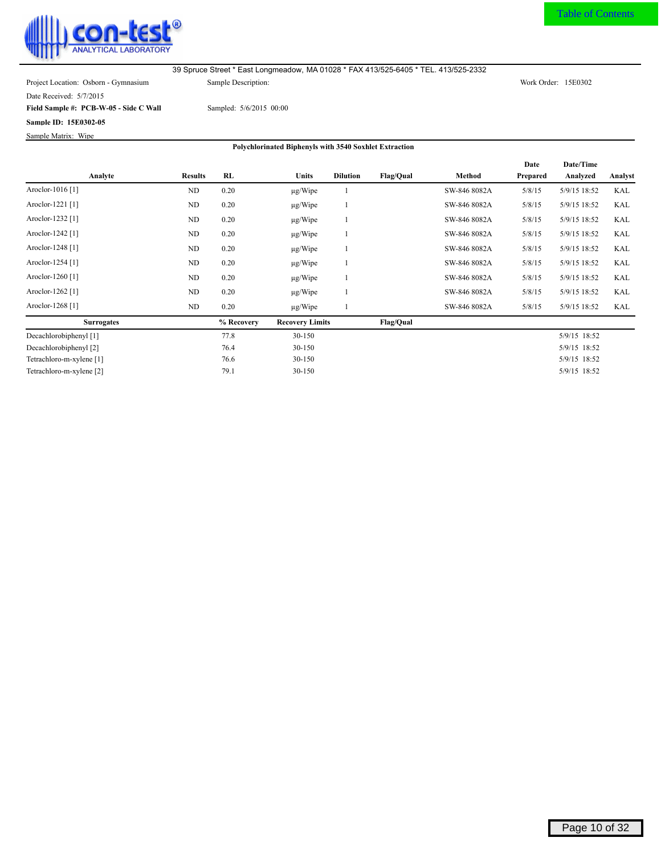<span id="page-10-0"></span>

Date Received: 5/7/2015

**Field Sample #: PCB-W-05 - Side C Wall**

**Sample ID: 15E0302-05**

Sample Matrix: Wipe

Sampled: 5/6/2015 00:00

|                             |                |            |                        |                 |                  |              | Date     | Date/Time    |            |
|-----------------------------|----------------|------------|------------------------|-----------------|------------------|--------------|----------|--------------|------------|
| Analyte                     | <b>Results</b> | RL         | <b>Units</b>           | <b>Dilution</b> | <b>Flag/Qual</b> | Method       | Prepared | Analyzed     | Analyst    |
| Aroclor-1016 [1]            | ND             | 0.20       | $\mu$ g/Wipe           |                 |                  | SW-846 8082A | 5/8/15   | 5/9/15 18:52 | <b>KAL</b> |
| Aroclor-1221 [1]            | ND             | 0.20       | $\mu$ g/Wipe           |                 |                  | SW-846 8082A | 5/8/15   | 5/9/15 18:52 | KAL        |
| Aroclor-1232 [1]            | ND             | 0.20       | $\mu$ g/Wipe           |                 |                  | SW-846 8082A | 5/8/15   | 5/9/15 18:52 | <b>KAL</b> |
| Aroclor-1242 <sup>[1]</sup> | ND             | 0.20       | $\mu$ g/Wipe           |                 |                  | SW-846 8082A | 5/8/15   | 5/9/15 18:52 | KAL        |
| Aroclor-1248 <sup>[1]</sup> | ND             | 0.20       | $\mu$ g/Wipe           |                 |                  | SW-846 8082A | 5/8/15   | 5/9/15 18:52 | <b>KAL</b> |
| Aroclor-1254 [1]            | ND             | 0.20       | $\mu$ g/Wipe           |                 |                  | SW-846 8082A | 5/8/15   | 5/9/15 18:52 | <b>KAL</b> |
| Aroclor-1260 <sup>[1]</sup> | ND             | 0.20       | $\mu$ g/Wipe           |                 |                  | SW-846 8082A | 5/8/15   | 5/9/15 18:52 | <b>KAL</b> |
| Aroclor-1262 <sup>[1]</sup> | ND             | 0.20       | $\mu$ g/Wipe           |                 |                  | SW-846 8082A | 5/8/15   | 5/9/15 18:52 | <b>KAL</b> |
| Aroclor-1268 <sup>[1]</sup> | ND             | 0.20       | $\mu$ g/Wipe           |                 |                  | SW-846 8082A | 5/8/15   | 5/9/15 18:52 | KAL        |
| <b>Surrogates</b>           |                | % Recovery | <b>Recovery Limits</b> |                 | <b>Flag/Qual</b> |              |          |              |            |
| Decachlorobiphenyl [1]      |                | 77.8       | 30-150                 |                 |                  |              |          | 5/9/15 18:52 |            |
| Decachlorobiphenyl [2]      |                | 76.4       | 30-150                 |                 |                  |              |          | 5/9/15 18:52 |            |
| Tetrachloro-m-xylene [1]    |                | 76.6       | 30-150                 |                 |                  |              |          | 5/9/15 18:52 |            |
| Tetrachloro-m-xylene [2]    |                | 79.1       | $30 - 150$             |                 |                  |              |          | 5/9/15 18:52 |            |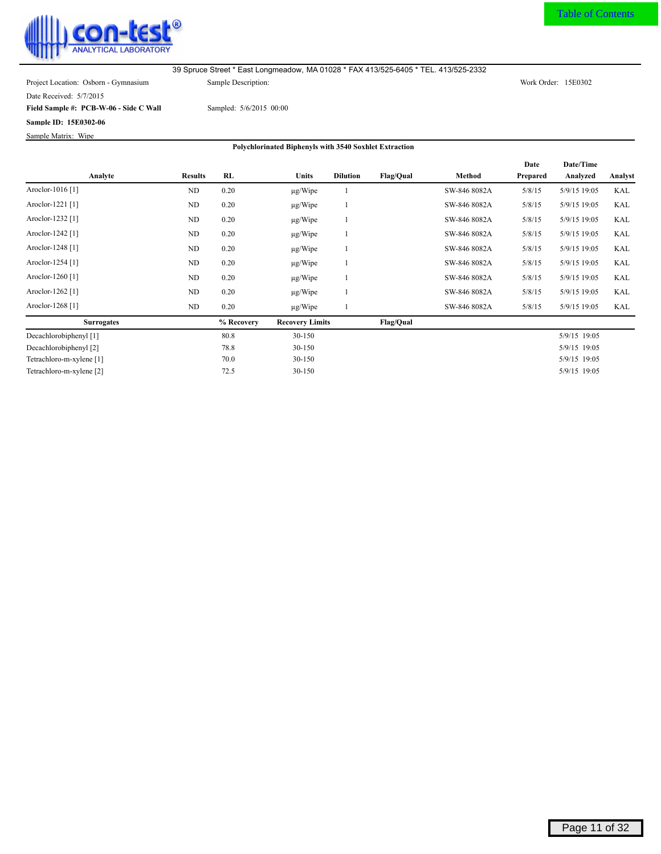<span id="page-11-0"></span>

Date Received: 5/7/2015

**Field Sample #: PCB-W-06 - Side C Wall**

**Sample ID: 15E0302-06**

Sample Matrix: Wipe

Sampled: 5/6/2015 00:00

|                             |                |            |                        |                 |                  |              | Date     | Date/Time    |            |
|-----------------------------|----------------|------------|------------------------|-----------------|------------------|--------------|----------|--------------|------------|
| Analyte                     | <b>Results</b> | RL         | Units                  | <b>Dilution</b> | <b>Flag/Qual</b> | Method       | Prepared | Analyzed     | Analyst    |
| Aroclor-1016 [1]            | ND             | 0.20       | $\mu$ g/Wipe           |                 |                  | SW-846 8082A | 5/8/15   | 5/9/15 19:05 | <b>KAL</b> |
| Aroclor-1221 [1]            | ND             | 0.20       | $\mu$ g/Wipe           |                 |                  | SW-846 8082A | 5/8/15   | 5/9/15 19:05 | KAL        |
| Aroclor-1232 <sup>[1]</sup> | ND             | 0.20       | $\mu$ g/Wipe           |                 |                  | SW-846 8082A | 5/8/15   | 5/9/15 19:05 | <b>KAL</b> |
| Aroclor-1242 [1]            | ND             | 0.20       | $\mu$ g/Wipe           |                 |                  | SW-846 8082A | 5/8/15   | 5/9/15 19:05 | KAL        |
| Aroclor-1248 <sup>[1]</sup> | ND             | 0.20       | $\mu$ g/Wipe           |                 |                  | SW-846 8082A | 5/8/15   | 5/9/15 19:05 | <b>KAL</b> |
| Aroclor-1254 [1]            | ND             | 0.20       | $\mu$ g/Wipe           |                 |                  | SW-846 8082A | 5/8/15   | 5/9/15 19:05 | KAL        |
| Aroclor-1260 <sup>[1]</sup> | ND             | 0.20       | $\mu$ g/Wipe           |                 |                  | SW-846 8082A | 5/8/15   | 5/9/15 19:05 | <b>KAL</b> |
| Aroclor-1262 [1]            | ND             | 0.20       | $\mu$ g/Wipe           |                 |                  | SW-846 8082A | 5/8/15   | 5/9/15 19:05 | KAL        |
| Aroclor-1268 <sup>[1]</sup> | ND             | 0.20       | $\mu$ g/Wipe           |                 |                  | SW-846 8082A | 5/8/15   | 5/9/15 19:05 | KAL        |
| <b>Surrogates</b>           |                | % Recovery | <b>Recovery Limits</b> |                 | <b>Flag/Qual</b> |              |          |              |            |
| Decachlorobiphenyl [1]      |                | 80.8       | 30-150                 |                 |                  |              |          | 5/9/15 19:05 |            |
| Decachlorobiphenyl [2]      |                | 78.8       | 30-150                 |                 |                  |              |          | 5/9/15 19:05 |            |
| Tetrachloro-m-xylene [1]    |                | 70.0       | 30-150                 |                 |                  |              |          | 5/9/15 19:05 |            |
| Tetrachloro-m-xylene [2]    |                | 72.5       | 30-150                 |                 |                  |              |          | 5/9/15 19:05 |            |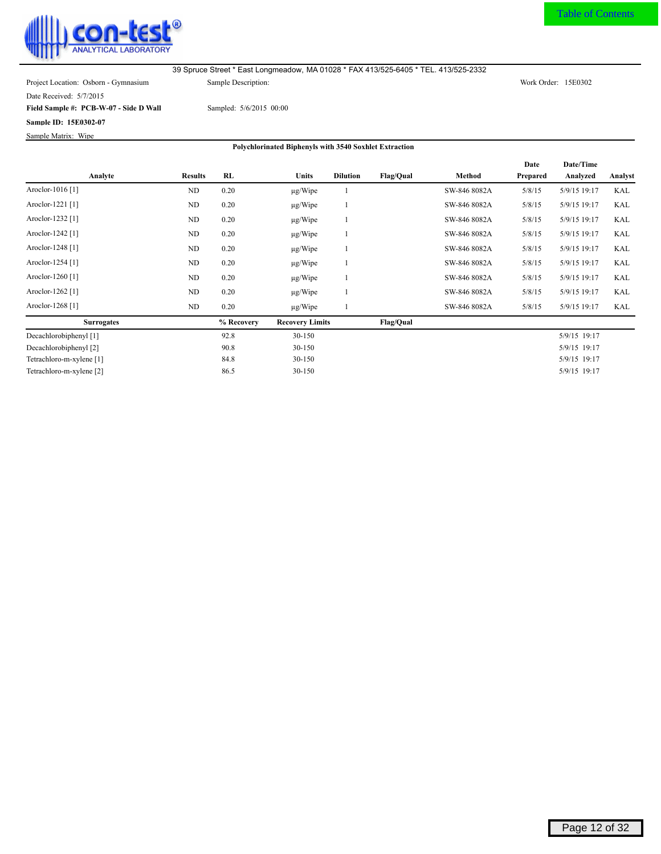<span id="page-12-0"></span>

Date Received: 5/7/2015

**Field Sample #: PCB-W-07 - Side D Wall**

**Sample ID: 15E0302-07**

Sample Matrix: Wipe

Sampled: 5/6/2015 00:00

|                             |                |            |                        |                 |                  |              | Date     | Date/Time    |         |
|-----------------------------|----------------|------------|------------------------|-----------------|------------------|--------------|----------|--------------|---------|
| Analyte                     | <b>Results</b> | <b>RL</b>  | <b>Units</b>           | <b>Dilution</b> | <b>Flag/Qual</b> | Method       | Prepared | Analyzed     | Analyst |
| Aroclor-1016 <sup>[1]</sup> | ND             | 0.20       | $\mu$ g/Wipe           |                 |                  | SW-846 8082A | 5/8/15   | 5/9/15 19:17 | KAL     |
| Aroclor-1221 [1]            | ND             | 0.20       | $\mu$ g/Wipe           |                 |                  | SW-846 8082A | 5/8/15   | 5/9/15 19:17 | KAL     |
| Aroclor-1232 <sup>[1]</sup> | ND             | 0.20       | $\mu$ g/Wipe           |                 |                  | SW-846 8082A | 5/8/15   | 5/9/15 19:17 | KAL     |
| Aroclor-1242 <sup>[1]</sup> | ND             | 0.20       | $\mu$ g/Wipe           |                 |                  | SW-846 8082A | 5/8/15   | 5/9/15 19:17 | KAL     |
| Aroclor-1248 <sup>[1]</sup> | ND             | 0.20       | $\mu$ g/Wipe           |                 |                  | SW-846 8082A | 5/8/15   | 5/9/15 19:17 | KAL     |
| Aroclor-1254 [1]            | ND             | 0.20       | $\mu$ g/Wipe           |                 |                  | SW-846 8082A | 5/8/15   | 5/9/15 19:17 | KAL     |
| Aroclor-1260 <sup>[1]</sup> | ND             | 0.20       | $\mu$ g/Wipe           |                 |                  | SW-846 8082A | 5/8/15   | 5/9/15 19:17 | KAL     |
| Aroclor-1262 <sup>[1]</sup> | ND             | 0.20       | $\mu$ g/Wipe           |                 |                  | SW-846 8082A | 5/8/15   | 5/9/15 19:17 | KAL     |
| Aroclor-1268 <sup>[1]</sup> | ND             | 0.20       | $\mu$ g/Wipe           |                 |                  | SW-846 8082A | 5/8/15   | 5/9/15 19:17 | KAL     |
| <b>Surrogates</b>           |                | % Recovery | <b>Recovery Limits</b> |                 | <b>Flag/Qual</b> |              |          |              |         |
| Decachlorobiphenyl [1]      |                | 92.8       | 30-150                 |                 |                  |              |          | 5/9/15 19:17 |         |
| Decachlorobiphenyl [2]      |                | 90.8       | 30-150                 |                 |                  |              |          | 5/9/15 19:17 |         |
| Tetrachloro-m-xylene [1]    |                | 84.8       | 30-150                 |                 |                  |              |          | 5/9/15 19:17 |         |
| Tetrachloro-m-xylene [2]    |                | 86.5       | 30-150                 |                 |                  |              |          | 5/9/15 19:17 |         |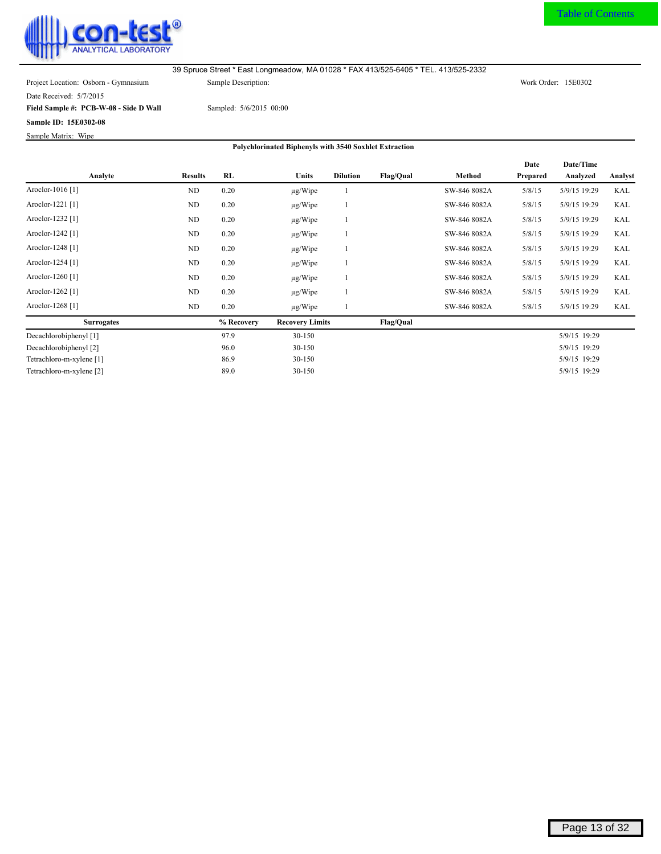<span id="page-13-0"></span>

Date Received: 5/7/2015

**Field Sample #: PCB-W-08 - Side D Wall**

**Sample ID: 15E0302-08**

Sample Matrix: Wipe

Sampled: 5/6/2015 00:00

|                             |                |            |                        |                 |                  |              | Date     | Date/Time    |            |
|-----------------------------|----------------|------------|------------------------|-----------------|------------------|--------------|----------|--------------|------------|
| Analyte                     | <b>Results</b> | RL         | <b>Units</b>           | <b>Dilution</b> | Flag/Qual        | Method       | Prepared | Analyzed     | Analyst    |
| Aroclor-1016 <sup>[1]</sup> | ND             | 0.20       | $\mu$ g/Wipe           |                 |                  | SW-846 8082A | 5/8/15   | 5/9/15 19:29 | KAL        |
| Aroclor-1221 [1]            | ND             | 0.20       | $\mu$ g/Wipe           |                 |                  | SW-846 8082A | 5/8/15   | 5/9/15 19:29 | <b>KAL</b> |
| Aroclor-1232 <sup>[1]</sup> | ND             | 0.20       | $\mu$ g/Wipe           |                 |                  | SW-846 8082A | 5/8/15   | 5/9/15 19:29 | <b>KAL</b> |
| Aroclor-1242 <sup>[1]</sup> | ND             | 0.20       | $\mu$ g/Wipe           |                 |                  | SW-846 8082A | 5/8/15   | 5/9/15 19:29 | <b>KAL</b> |
| Aroclor-1248 <sup>[1]</sup> | ND             | 0.20       | $\mu$ g/Wipe           |                 |                  | SW-846 8082A | 5/8/15   | 5/9/15 19:29 | <b>KAL</b> |
| Aroclor-1254 [1]            | ND             | 0.20       | $\mu$ g/Wipe           |                 |                  | SW-846 8082A | 5/8/15   | 5/9/15 19:29 | <b>KAL</b> |
| Aroclor-1260 <sup>[1]</sup> | ND             | 0.20       | $\mu$ g/Wipe           |                 |                  | SW-846 8082A | 5/8/15   | 5/9/15 19:29 | <b>KAL</b> |
| Aroclor-1262 [1]            | ND             | 0.20       | $\mu$ g/Wipe           |                 |                  | SW-846 8082A | 5/8/15   | 5/9/15 19:29 | <b>KAL</b> |
| Aroclor-1268 <sup>[1]</sup> | ND             | 0.20       | $\mu$ g/Wipe           |                 |                  | SW-846 8082A | 5/8/15   | 5/9/15 19:29 | KAL        |
| <b>Surrogates</b>           |                | % Recovery | <b>Recovery Limits</b> |                 | <b>Flag/Qual</b> |              |          |              |            |
| Decachlorobiphenyl [1]      |                | 97.9       | 30-150                 |                 |                  |              |          | 5/9/15 19:29 |            |
| Decachlorobiphenyl [2]      |                | 96.0       | 30-150                 |                 |                  |              |          | 5/9/15 19:29 |            |
| Tetrachloro-m-xylene [1]    |                | 86.9       | 30-150                 |                 |                  |              |          | 5/9/15 19:29 |            |
| Tetrachloro-m-xylene [2]    |                | 89.0       | 30-150                 |                 |                  |              |          | 5/9/15 19:29 |            |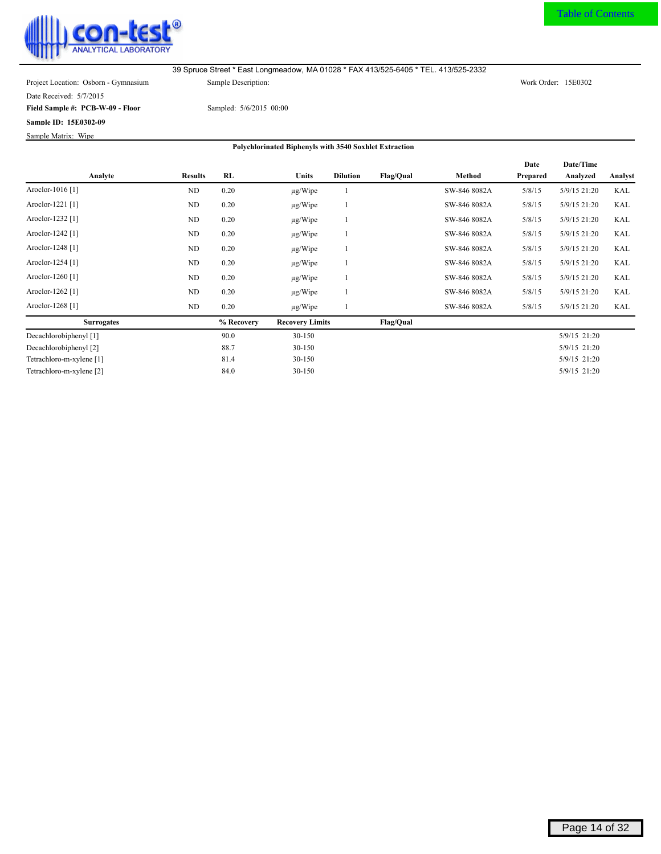<span id="page-14-0"></span>

Date Received: 5/7/2015

**Field Sample #: PCB-W-09 - Floor**

**Sample ID: 15E0302-09**

Sample Matrix: Wipe

Sampled: 5/6/2015 00:00

|                             |                |            |                        |                 |                  |              | Date     | Date/Time    |            |
|-----------------------------|----------------|------------|------------------------|-----------------|------------------|--------------|----------|--------------|------------|
| Analyte                     | <b>Results</b> | RL         | <b>Units</b>           | <b>Dilution</b> | <b>Flag/Qual</b> | Method       | Prepared | Analyzed     | Analyst    |
| Aroclor-1016 [1]            | <b>ND</b>      | 0.20       | $\mu$ g/Wipe           |                 |                  | SW-846 8082A | 5/8/15   | 5/9/15 21:20 | <b>KAL</b> |
| Aroclor-1221 [1]            | ND             | 0.20       | $\mu$ g/Wipe           |                 |                  | SW-846 8082A | 5/8/15   | 5/9/15 21:20 | <b>KAL</b> |
| Aroclor-1232 <sup>[1]</sup> | ND             | 0.20       | $\mu$ g/Wipe           |                 |                  | SW-846 8082A | 5/8/15   | 5/9/15 21:20 | <b>KAL</b> |
| Aroclor-1242 [1]            | ND             | 0.20       | $\mu$ g/Wipe           |                 |                  | SW-846 8082A | 5/8/15   | 5/9/15 21:20 | <b>KAL</b> |
| Aroclor-1248 <sup>[1]</sup> | ND             | 0.20       | $\mu$ g/Wipe           |                 |                  | SW-846 8082A | 5/8/15   | 5/9/15 21:20 | <b>KAL</b> |
| Aroclor-1254 [1]            | ND             | 0.20       | $\mu$ g/Wipe           |                 |                  | SW-846 8082A | 5/8/15   | 5/9/15 21:20 | KAL        |
| Aroclor-1260 <sup>[1]</sup> | ND             | 0.20       | $\mu$ g/Wipe           |                 |                  | SW-846 8082A | 5/8/15   | 5/9/15 21:20 | <b>KAL</b> |
| Aroclor-1262 [1]            | ND             | 0.20       | $\mu$ g/Wipe           |                 |                  | SW-846 8082A | 5/8/15   | 5/9/15 21:20 | KAL        |
| Aroclor-1268 [1]            | ND             | 0.20       | $\mu$ g/Wipe           |                 |                  | SW-846 8082A | 5/8/15   | 5/9/15 21:20 | KAL        |
| <b>Surrogates</b>           |                | % Recovery | <b>Recovery Limits</b> |                 | <b>Flag/Qual</b> |              |          |              |            |
| Decachlorobiphenyl [1]      |                | 90.0       | 30-150                 |                 |                  |              |          | 5/9/15 21:20 |            |
| Decachlorobiphenyl [2]      |                | 88.7       | 30-150                 |                 |                  |              |          | 5/9/15 21:20 |            |
| Tetrachloro-m-xylene [1]    |                | 81.4       | 30-150                 |                 |                  |              |          | 5/9/15 21:20 |            |
| Tetrachloro-m-xylene [2]    |                | 84.0       | 30-150                 |                 |                  |              |          | 5/9/15 21:20 |            |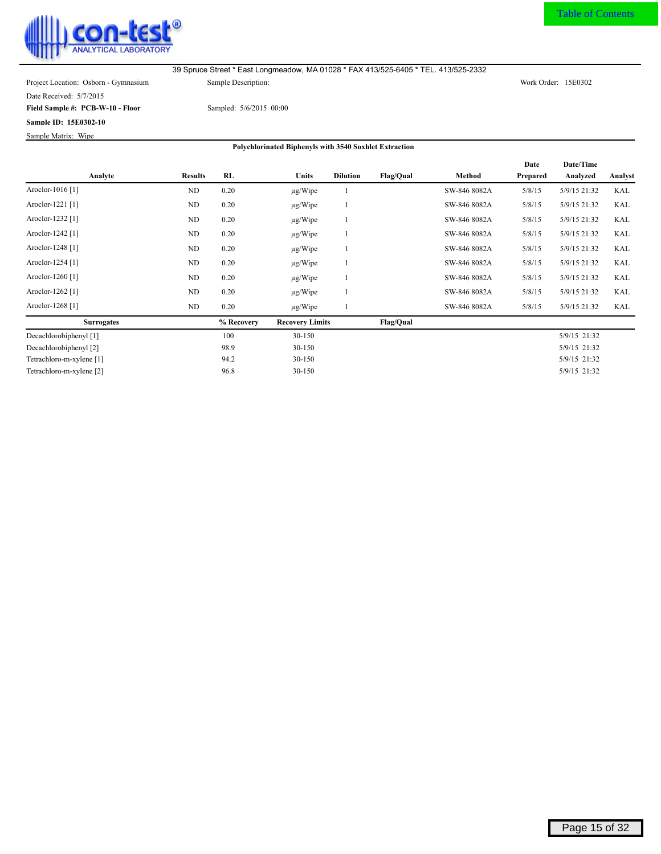<span id="page-15-0"></span>

Date Received: 5/7/2015

**Field Sample #: PCB-W-10 - Floor**

**Sample ID: 15E0302-10** Sample Matrix: Wipe

Sampled: 5/6/2015 00:00

|                             |                |            |                        |                 |                  |              | Date     | Date/Time    |            |
|-----------------------------|----------------|------------|------------------------|-----------------|------------------|--------------|----------|--------------|------------|
| Analyte                     | <b>Results</b> | RL         | <b>Units</b>           | <b>Dilution</b> | <b>Flag/Qual</b> | Method       | Prepared | Analyzed     | Analyst    |
| Aroclor-1016 [1]            | ND             | 0.20       | $\mu$ g/Wipe           |                 |                  | SW-846 8082A | 5/8/15   | 5/9/15 21:32 | <b>KAL</b> |
| Aroclor-1221 [1]            | ND             | 0.20       | $\mu$ g/Wipe           | -1              |                  | SW-846 8082A | 5/8/15   | 5/9/15 21:32 | <b>KAL</b> |
| Aroclor-1232 <sup>[1]</sup> | ND             | 0.20       | $\mu$ g/Wipe           |                 |                  | SW-846 8082A | 5/8/15   | 5/9/15 21:32 | <b>KAL</b> |
| Aroclor-1242 [1]            | ND             | 0.20       | $\mu$ g/Wipe           | -1              |                  | SW-846 8082A | 5/8/15   | 5/9/15 21:32 | <b>KAL</b> |
| Aroclor-1248 <sup>[1]</sup> | ND             | 0.20       | $\mu$ g/Wipe           |                 |                  | SW-846 8082A | 5/8/15   | 5/9/15 21:32 | <b>KAL</b> |
| Aroclor-1254 [1]            | ND             | 0.20       | $\mu$ g/Wipe           | -1              |                  | SW-846 8082A | 5/8/15   | 5/9/15 21:32 | KAL        |
| Aroclor-1260 <sup>[1]</sup> | ND             | 0.20       | $\mu$ g/Wipe           |                 |                  | SW-846 8082A | 5/8/15   | 5/9/15 21:32 | <b>KAL</b> |
| Aroclor-1262 [1]            | ND             | 0.20       | $\mu$ g/Wipe           |                 |                  | SW-846 8082A | 5/8/15   | 5/9/15 21:32 | KAL        |
| Aroclor-1268 [1]            | ND             | 0.20       | $\mu$ g/Wipe           |                 |                  | SW-846 8082A | 5/8/15   | 5/9/15 21:32 | KAL        |
| <b>Surrogates</b>           |                | % Recovery | <b>Recovery Limits</b> |                 | <b>Flag/Qual</b> |              |          |              |            |
| Decachlorobiphenyl [1]      |                | 100        | $30 - 150$             |                 |                  |              |          | 5/9/15 21:32 |            |
| Decachlorobiphenyl [2]      |                | 98.9       | 30-150                 |                 |                  |              |          | 5/9/15 21:32 |            |
| Tetrachloro-m-xylene [1]    |                | 94.2       | 30-150                 |                 |                  |              |          | 5/9/15 21:32 |            |
| Tetrachloro-m-xylene [2]    |                | 96.8       | 30-150                 |                 |                  |              |          | 5/9/15 21:32 |            |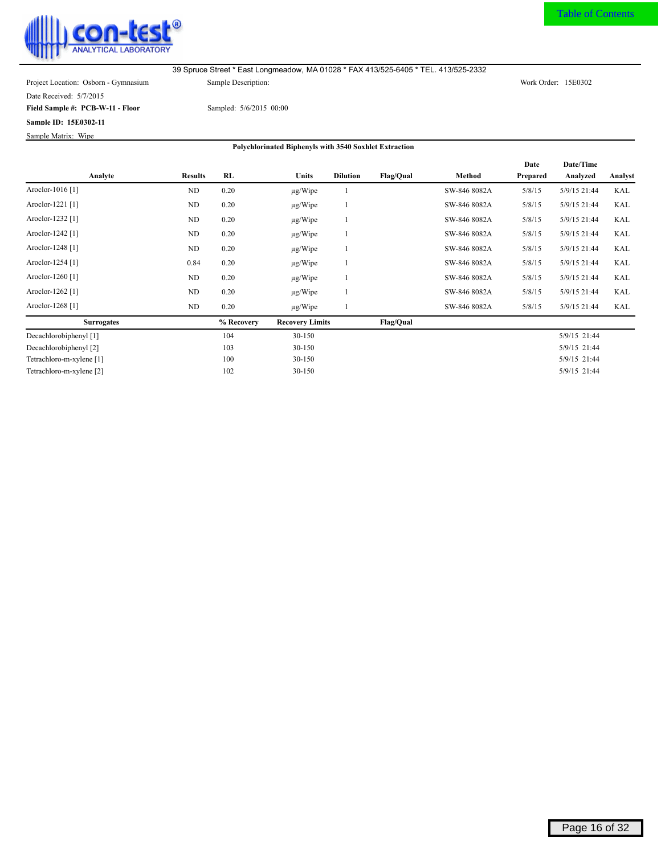<span id="page-16-0"></span>

Date Received: 5/7/2015

**Field Sample #: PCB-W-11 - Floor**

**Sample ID: 15E0302-11** Sample Matrix: Wipe

Sampled: 5/6/2015 00:00

|                             |                |            |                        |                 |                  |              | Date     | Date/Time    |            |
|-----------------------------|----------------|------------|------------------------|-----------------|------------------|--------------|----------|--------------|------------|
| Analyte                     | <b>Results</b> | RL         | <b>Units</b>           | <b>Dilution</b> | <b>Flag/Qual</b> | Method       | Prepared | Analyzed     | Analyst    |
| Aroclor-1016 [1]            | ND             | 0.20       | $\mu$ g/Wipe           |                 |                  | SW-846 8082A | 5/8/15   | 5/9/15 21:44 | <b>KAL</b> |
| Aroclor-1221 [1]            | ND             | 0.20       | $\mu$ g/Wipe           | -1              |                  | SW-846 8082A | 5/8/15   | 5/9/15 21:44 | KAL        |
| Aroclor-1232 <sup>[1]</sup> | ND             | 0.20       | $\mu$ g/Wipe           |                 |                  | SW-846 8082A | 5/8/15   | 5/9/15 21:44 | <b>KAL</b> |
| Aroclor-1242 [1]            | ND             | 0.20       | $\mu$ g/Wipe           | -1              |                  | SW-846 8082A | 5/8/15   | 5/9/15 21:44 | <b>KAL</b> |
| Aroclor-1248 <sup>[1]</sup> | ND             | 0.20       | $\mu$ g/Wipe           |                 |                  | SW-846 8082A | 5/8/15   | 5/9/15 21:44 | <b>KAL</b> |
| Aroclor-1254 [1]            | 0.84           | 0.20       | $\mu$ g/Wipe           | -1              |                  | SW-846 8082A | 5/8/15   | 5/9/15 21:44 | KAL        |
| Aroclor-1260 <sup>[1]</sup> | ND             | 0.20       | $\mu$ g/Wipe           |                 |                  | SW-846 8082A | 5/8/15   | 5/9/15 21:44 | <b>KAL</b> |
| Aroclor-1262 [1]            | ND             | 0.20       | $\mu$ g/Wipe           |                 |                  | SW-846 8082A | 5/8/15   | 5/9/15 21:44 | KAL        |
| Aroclor-1268 [1]            | ND             | 0.20       | $\mu$ g/Wipe           |                 |                  | SW-846 8082A | 5/8/15   | 5/9/15 21:44 | KAL        |
| <b>Surrogates</b>           |                | % Recovery | <b>Recovery Limits</b> |                 | <b>Flag/Qual</b> |              |          |              |            |
| Decachlorobiphenyl [1]      |                | 104        | $30 - 150$             |                 |                  |              |          | 5/9/15 21:44 |            |
| Decachlorobiphenyl [2]      |                | 103        | 30-150                 |                 |                  |              |          | 5/9/15 21:44 |            |
| Tetrachloro-m-xylene [1]    |                | 100        | 30-150                 |                 |                  |              |          | 5/9/15 21:44 |            |
| Tetrachloro-m-xylene [2]    |                | 102        | 30-150                 |                 |                  |              |          | 5/9/15 21:44 |            |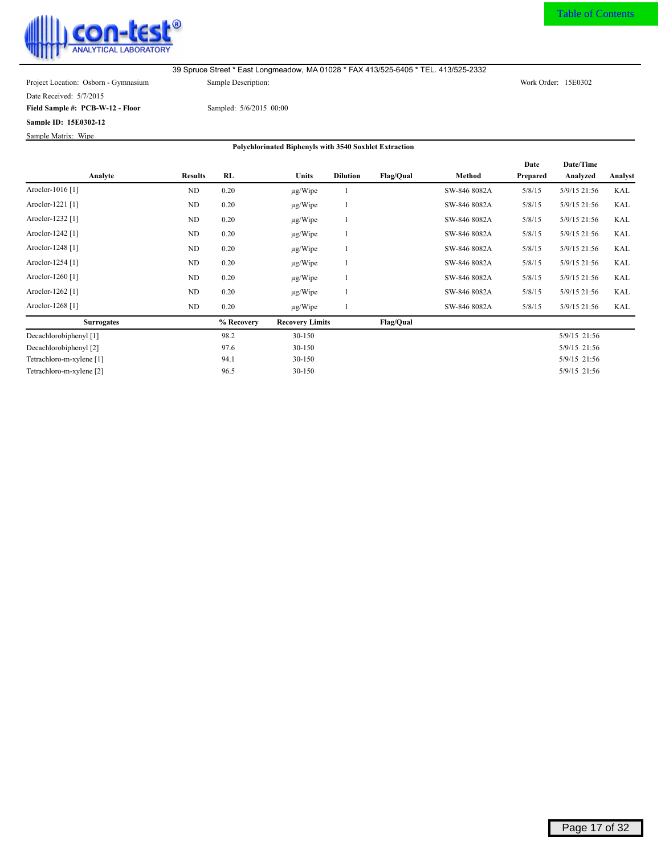<span id="page-17-0"></span>

Date Received: 5/7/2015

**Field Sample #: PCB-W-12 - Floor**

**Sample ID: 15E0302-12** Sample Matrix: Wipe

Sampled: 5/6/2015 00:00

|                             |                |            |                        |                 |                  |              | Date     | Date/Time    |            |
|-----------------------------|----------------|------------|------------------------|-----------------|------------------|--------------|----------|--------------|------------|
| Analyte                     | <b>Results</b> | RL         | Units                  | <b>Dilution</b> | <b>Flag/Qual</b> | Method       | Prepared | Analyzed     | Analyst    |
| Aroclor-1016 [1]            | ND             | 0.20       | $\mu$ g/Wipe           |                 |                  | SW-846 8082A | 5/8/15   | 5/9/15 21:56 | <b>KAL</b> |
| Aroclor-1221 [1]            | ND             | 0.20       | $\mu$ g/Wipe           |                 |                  | SW-846 8082A | 5/8/15   | 5/9/15 21:56 | KAL        |
| Aroclor-1232 <sup>[1]</sup> | ND             | 0.20       | $\mu$ g/Wipe           |                 |                  | SW-846 8082A | 5/8/15   | 5/9/15 21:56 | <b>KAL</b> |
| Aroclor-1242 [1]            | ND             | 0.20       | $\mu$ g/Wipe           |                 |                  | SW-846 8082A | 5/8/15   | 5/9/15 21:56 | <b>KAL</b> |
| Aroclor-1248 <sup>[1]</sup> | ND             | 0.20       | $\mu$ g/Wipe           |                 |                  | SW-846 8082A | 5/8/15   | 5/9/15 21:56 | <b>KAL</b> |
| Aroclor-1254 [1]            | ND             | 0.20       | $\mu$ g/Wipe           |                 |                  | SW-846 8082A | 5/8/15   | 5/9/15 21:56 | KAL        |
| Aroclor-1260 <sup>[1]</sup> | ND             | 0.20       | $\mu$ g/Wipe           |                 |                  | SW-846 8082A | 5/8/15   | 5/9/15 21:56 | <b>KAL</b> |
| Aroclor-1262 <sup>[1]</sup> | ND             | 0.20       | $\mu$ g/Wipe           |                 |                  | SW-846 8082A | 5/8/15   | 5/9/15 21:56 | KAL        |
| Aroclor-1268 <sup>[1]</sup> | ND             | 0.20       | $\mu$ g/Wipe           |                 |                  | SW-846 8082A | 5/8/15   | 5/9/15 21:56 | KAL        |
| <b>Surrogates</b>           |                | % Recovery | <b>Recovery Limits</b> |                 | <b>Flag/Qual</b> |              |          |              |            |
| Decachlorobiphenyl [1]      |                | 98.2       | 30-150                 |                 |                  |              |          | 5/9/15 21:56 |            |
| Decachlorobiphenyl [2]      |                | 97.6       | 30-150                 |                 |                  |              |          | 5/9/15 21:56 |            |
| Tetrachloro-m-xylene [1]    |                | 94.1       | 30-150                 |                 |                  |              |          | 5/9/15 21:56 |            |
| Tetrachloro-m-xylene [2]    |                | 96.5       | 30-150                 |                 |                  |              |          | 5/9/15 21:56 |            |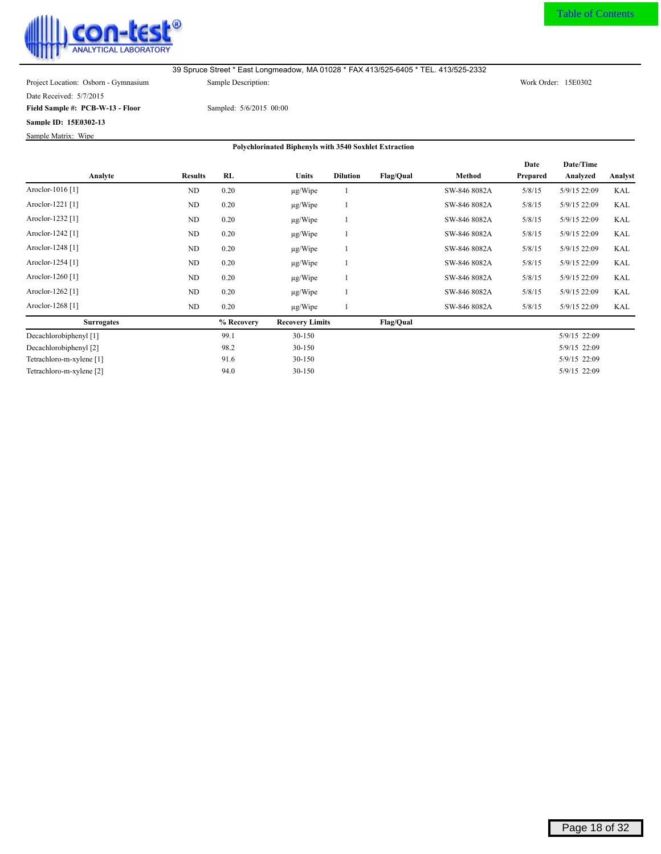<span id="page-18-0"></span>

Date Received: 5/7/2015

**Field Sample #: PCB-W-13 - Floor**

**Sample ID: 15E0302-13**

Sampled: 5/6/2015 00:00

Sample Matrix: Wipe

|                             |                |            |                        |                 |                  |              | Date     | Date/Time    |         |
|-----------------------------|----------------|------------|------------------------|-----------------|------------------|--------------|----------|--------------|---------|
| Analyte                     | <b>Results</b> | RL         | <b>Units</b>           | <b>Dilution</b> | Flag/Qual        | Method       | Prepared | Analyzed     | Analyst |
| Aroclor-1016 [1]            | ND             | 0.20       | $\mu$ g/Wipe           |                 |                  | SW-846 8082A | 5/8/15   | 5/9/15 22:09 | KAL     |
| Aroclor-1221 [1]            | ND             | 0.20       | $\mu$ g/Wipe           |                 |                  | SW-846 8082A | 5/8/15   | 5/9/15 22:09 | KAL     |
| Aroclor-1232 <sup>[1]</sup> | ND             | 0.20       | $\mu$ g/Wipe           |                 |                  | SW-846 8082A | 5/8/15   | 5/9/15 22:09 | KAL     |
| Aroclor-1242 [1]            | ND             | 0.20       | $\mu$ g/Wipe           |                 |                  | SW-846 8082A | 5/8/15   | 5/9/15 22:09 | KAL     |
| Aroclor-1248 <sup>[1]</sup> | ND             | 0.20       | $\mu$ g/Wipe           |                 |                  | SW-846 8082A | 5/8/15   | 5/9/15 22:09 | KAL     |
| Aroclor-1254 [1]            | ND             | 0.20       | $\mu$ g/Wipe           |                 |                  | SW-846 8082A | 5/8/15   | 5/9/15 22:09 | KAL     |
| Aroclor-1260 <sup>[1]</sup> | ND             | 0.20       | $\mu$ g/Wipe           |                 |                  | SW-846 8082A | 5/8/15   | 5/9/15 22:09 | KAL     |
| Aroclor-1262 [1]            | ND             | 0.20       | $\mu$ g/Wipe           |                 |                  | SW-846 8082A | 5/8/15   | 5/9/15 22:09 | KAL     |
| Aroclor-1268 [1]            | ND             | 0.20       | $\mu$ g/Wipe           |                 |                  | SW-846 8082A | 5/8/15   | 5/9/15 22:09 | KAL     |
| <b>Surrogates</b>           |                | % Recovery | <b>Recovery Limits</b> |                 | <b>Flag/Qual</b> |              |          |              |         |
| Decachlorobiphenyl [1]      |                | 99.1       | 30-150                 |                 |                  |              |          | 5/9/15 22:09 |         |
| Decachlorobiphenyl [2]      |                | 98.2       | 30-150                 |                 |                  |              |          | 5/9/15 22:09 |         |
| Tetrachloro-m-xylene [1]    |                | 91.6       | 30-150                 |                 |                  |              |          | 5/9/15 22:09 |         |
| Tetrachloro-m-xylene [2]    |                | 94.0       | 30-150                 |                 |                  |              |          | 5/9/15 22:09 |         |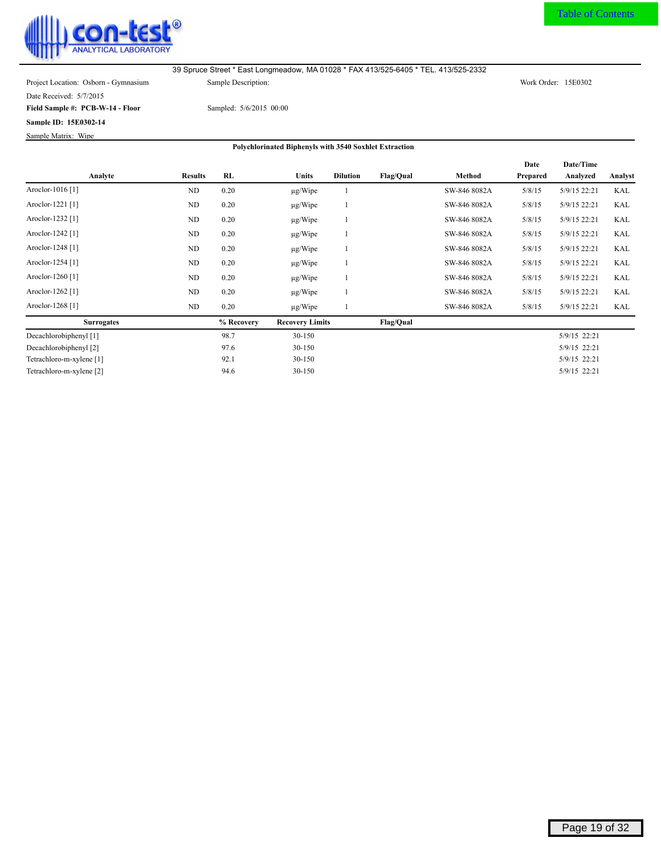<span id="page-19-0"></span>

Date Received: 5/7/2015

**Field Sample #: PCB-W-14 - Floor**

**Sample ID: 15E0302-14** Sample Matrix: Wipe

Sampled: 5/6/2015 00:00

|                             |                |            |                        |                 |                  |              | Date     | Date/Time    |            |
|-----------------------------|----------------|------------|------------------------|-----------------|------------------|--------------|----------|--------------|------------|
| Analyte                     | <b>Results</b> | RL         | <b>Units</b>           | <b>Dilution</b> | <b>Flag/Qual</b> | Method       | Prepared | Analyzed     | Analyst    |
| Aroclor-1016 [1]            | ND             | 0.20       | $\mu$ g/Wipe           |                 |                  | SW-846 8082A | 5/8/15   | 5/9/15 22:21 | <b>KAL</b> |
| Aroclor-1221 [1]            | ND             | 0.20       | $\mu$ g/Wipe           | -1              |                  | SW-846 8082A | 5/8/15   | 5/9/15 22:21 | <b>KAL</b> |
| Aroclor-1232 <sup>[1]</sup> | ND             | 0.20       | $\mu$ g/Wipe           |                 |                  | SW-846 8082A | 5/8/15   | 5/9/15 22:21 | <b>KAL</b> |
| Aroclor-1242 [1]            | ND             | 0.20       | $\mu$ g/Wipe           | -1              |                  | SW-846 8082A | 5/8/15   | 5/9/15 22:21 | <b>KAL</b> |
| Aroclor-1248 <sup>[1]</sup> | ND             | 0.20       | $\mu$ g/Wipe           |                 |                  | SW-846 8082A | 5/8/15   | 5/9/15 22:21 | <b>KAL</b> |
| Aroclor-1254 [1]            | N <sub>D</sub> | 0.20       | $\mu$ g/Wipe           | -1              |                  | SW-846 8082A | 5/8/15   | 5/9/15 22:21 | KAL        |
| Aroclor-1260 <sup>[1]</sup> | ND             | 0.20       | $\mu$ g/Wipe           |                 |                  | SW-846 8082A | 5/8/15   | 5/9/15 22:21 | <b>KAL</b> |
| Aroclor-1262 [1]            | ND             | 0.20       | $\mu$ g/Wipe           |                 |                  | SW-846 8082A | 5/8/15   | 5/9/15 22:21 | KAL        |
| Aroclor-1268 [1]            | ND             | 0.20       | $\mu$ g/Wipe           |                 |                  | SW-846 8082A | 5/8/15   | 5/9/15 22:21 | KAL        |
| <b>Surrogates</b>           |                | % Recovery | <b>Recovery Limits</b> |                 | <b>Flag/Qual</b> |              |          |              |            |
| Decachlorobiphenyl [1]      |                | 98.7       | 30-150                 |                 |                  |              |          | 5/9/15 22:21 |            |
| Decachlorobiphenyl [2]      |                | 97.6       | 30-150                 |                 |                  |              |          | 5/9/15 22:21 |            |
| Tetrachloro-m-xylene [1]    |                | 92.1       | 30-150                 |                 |                  |              |          | 5/9/15 22:21 |            |
| Tetrachloro-m-xylene [2]    |                | 94.6       | 30-150                 |                 |                  |              |          | 5/9/15 22:21 |            |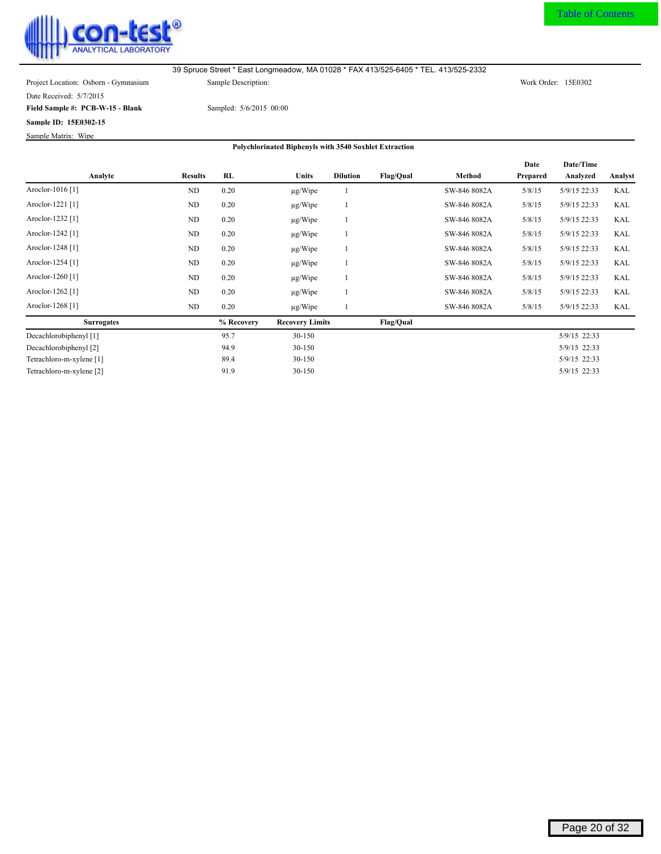<span id="page-20-0"></span>

Date Received: 5/7/2015

**Field Sample #: PCB-W-15 - Blank**

**Sample ID: 15E0302-15** Sample Matrix: Wipe

Sampled: 5/6/2015 00:00

|                             |                |            |                        |                 |                  |              | Date     | Date/Time    |            |
|-----------------------------|----------------|------------|------------------------|-----------------|------------------|--------------|----------|--------------|------------|
| Analyte                     | <b>Results</b> | <b>RL</b>  | <b>Units</b>           | <b>Dilution</b> | <b>Flag/Qual</b> | Method       | Prepared | Analyzed     | Analyst    |
| Aroclor-1016 <sup>[1]</sup> | ND             | 0.20       | $\mu$ g/Wipe           |                 |                  | SW-846 8082A | 5/8/15   | 5/9/15 22:33 | KAL        |
| Aroclor-1221 [1]            | ND             | 0.20       | $\mu$ g/Wipe           |                 |                  | SW-846 8082A | 5/8/15   | 5/9/15 22:33 | KAL        |
| Aroclor-1232 [1]            | ND             | 0.20       | $\mu$ g/Wipe           |                 |                  | SW-846 8082A | 5/8/15   | 5/9/15 22:33 | <b>KAL</b> |
| Aroclor-1242 <sup>[1]</sup> | ND             | 0.20       | $\mu$ g/Wipe           |                 |                  | SW-846 8082A | 5/8/15   | 5/9/15 22:33 | <b>KAL</b> |
| Aroclor-1248 <sup>[1]</sup> | ND             | 0.20       | $\mu$ g/Wipe           |                 |                  | SW-846 8082A | 5/8/15   | 5/9/15 22:33 | <b>KAL</b> |
| Aroclor-1254 [1]            | ND             | 0.20       | $\mu$ g/Wipe           |                 |                  | SW-846 8082A | 5/8/15   | 5/9/15 22:33 | KAL        |
| Aroclor-1260 <sup>[1]</sup> | ND             | 0.20       | $\mu$ g/Wipe           |                 |                  | SW-846 8082A | 5/8/15   | 5/9/15 22:33 | <b>KAL</b> |
| Aroclor-1262 [1]            | ND             | 0.20       | $\mu$ g/Wipe           |                 |                  | SW-846 8082A | 5/8/15   | 5/9/15 22:33 | KAL        |
| Aroclor-1268 <sup>[1]</sup> | ND             | 0.20       | $\mu$ g/Wipe           |                 |                  | SW-846 8082A | 5/8/15   | 5/9/15 22:33 | KAL        |
| <b>Surrogates</b>           |                | % Recovery | <b>Recovery Limits</b> |                 | <b>Flag/Qual</b> |              |          |              |            |
| Decachlorobiphenyl [1]      |                | 95.7       | 30-150                 |                 |                  |              |          | 5/9/15 22:33 |            |
| Decachlorobiphenyl [2]      |                | 94.9       | 30-150                 |                 |                  |              |          | 5/9/15 22:33 |            |
| Tetrachloro-m-xylene [1]    |                | 89.4       | 30-150                 |                 |                  |              |          | 5/9/15 22:33 |            |
| Tetrachloro-m-xylene [2]    |                | 91.9       | 30-150                 |                 |                  |              |          | 5/9/15 22:33 |            |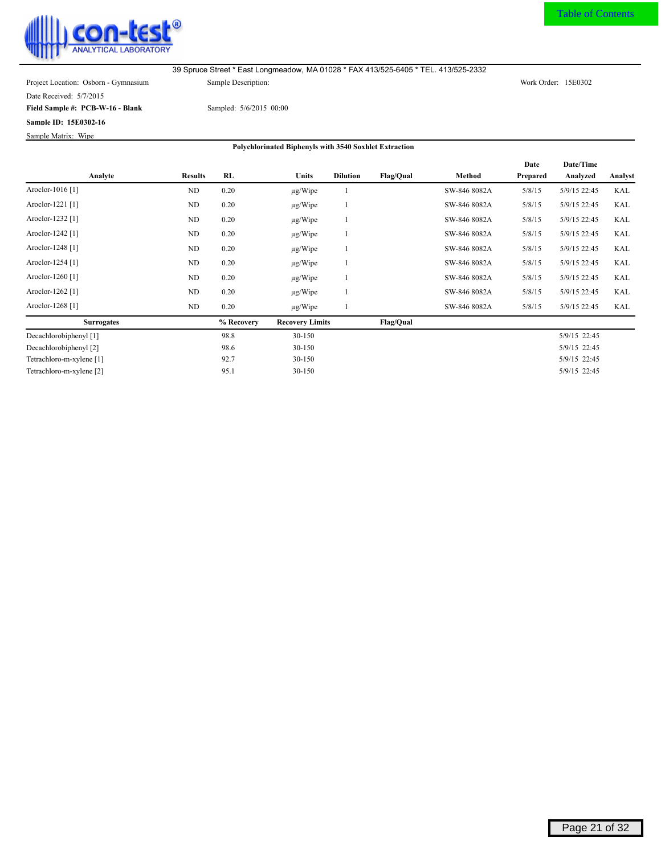<span id="page-21-0"></span>

Date Received: 5/7/2015

**Field Sample #: PCB-W-16 - Blank**

**Sample ID: 15E0302-16**

Sample Matrix: Wipe

Sampled: 5/6/2015 00:00

|                             |                |            |                        |                 |                  |              | Date     | Date/Time    |            |
|-----------------------------|----------------|------------|------------------------|-----------------|------------------|--------------|----------|--------------|------------|
| Analyte                     | <b>Results</b> | RL         | <b>Units</b>           | <b>Dilution</b> | Flag/Qual        | Method       | Prepared | Analyzed     | Analyst    |
| Aroclor-1016 <sup>[1]</sup> | <b>ND</b>      | 0.20       | $\mu$ g/Wipe           |                 |                  | SW-846 8082A | 5/8/15   | 5/9/15 22:45 | <b>KAL</b> |
| Aroclor-1221 [1]            | ND             | 0.20       | $\mu$ g/Wipe           |                 |                  | SW-846 8082A | 5/8/15   | 5/9/15 22:45 | KAL        |
| Aroclor-1232 <sup>[1]</sup> | ND             | 0.20       | $\mu$ g/Wipe           |                 |                  | SW-846 8082A | 5/8/15   | 5/9/15 22:45 | <b>KAL</b> |
| Aroclor-1242 <sup>[1]</sup> | ND             | 0.20       | $\mu$ g/Wipe           |                 |                  | SW-846 8082A | 5/8/15   | 5/9/15 22:45 | <b>KAL</b> |
| Aroclor-1248 <sup>[1]</sup> | ND             | 0.20       | $\mu$ g/Wipe           |                 |                  | SW-846 8082A | 5/8/15   | 5/9/15 22:45 | <b>KAL</b> |
| Aroclor-1254 [1]            | ND             | 0.20       | $\mu$ g/Wipe           |                 |                  | SW-846 8082A | 5/8/15   | 5/9/15 22:45 | <b>KAL</b> |
| Aroclor-1260 <sup>[1]</sup> | ND             | 0.20       | $\mu$ g/Wipe           |                 |                  | SW-846 8082A | 5/8/15   | 5/9/15 22:45 | <b>KAL</b> |
| Aroclor-1262 <sup>[1]</sup> | ND             | 0.20       | $\mu$ g/Wipe           |                 |                  | SW-846 8082A | 5/8/15   | 5/9/15 22:45 | <b>KAL</b> |
| Aroclor-1268 <sup>[1]</sup> | ND             | 0.20       | $\mu$ g/Wipe           |                 |                  | SW-846 8082A | 5/8/15   | 5/9/15 22:45 | KAL        |
| <b>Surrogates</b>           |                | % Recovery | <b>Recovery Limits</b> |                 | <b>Flag/Qual</b> |              |          |              |            |
| Decachlorobiphenyl [1]      |                | 98.8       | 30-150                 |                 |                  |              |          | 5/9/15 22:45 |            |
| Decachlorobiphenyl [2]      |                | 98.6       | 30-150                 |                 |                  |              |          | 5/9/15 22:45 |            |
| Tetrachloro-m-xylene [1]    |                | 92.7       | 30-150                 |                 |                  |              |          | 5/9/15 22:45 |            |
| Tetrachloro-m-xylene [2]    |                | 95.1       | 30-150                 |                 |                  |              |          | 5/9/15 22:45 |            |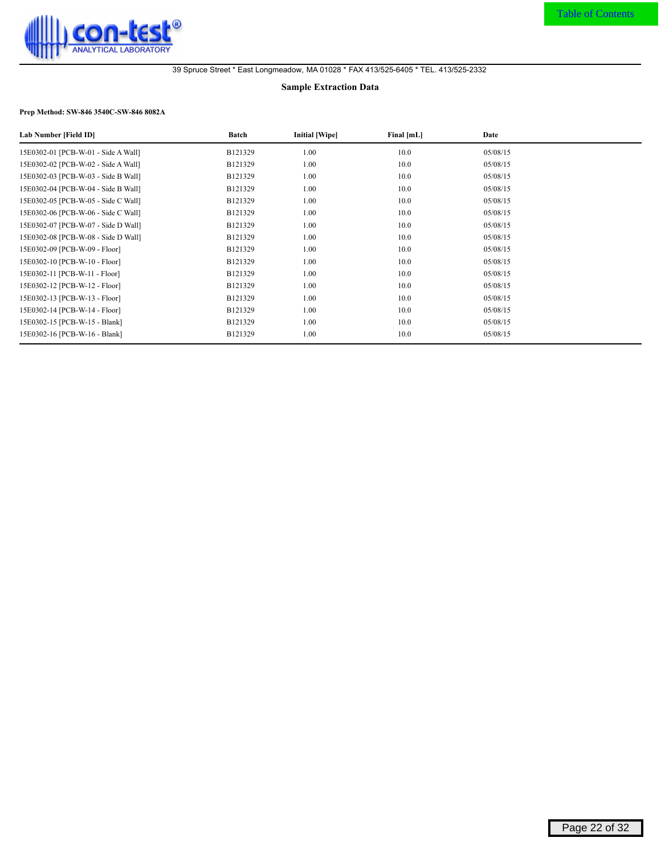<span id="page-22-0"></span>

#### **Sample Extraction Data**

### **Prep Method: SW-846 3540C-SW-846 8082A**

| Lab Number [Field ID]               | Batch   | Initial [Wipe] | Final [mL] | Date     |
|-------------------------------------|---------|----------------|------------|----------|
| 15E0302-01 [PCB-W-01 - Side A Wall] | B121329 | 1.00           | 10.0       | 05/08/15 |
| 15E0302-02 [PCB-W-02 - Side A Wall] | B121329 | 1.00           | 10.0       | 05/08/15 |
| 15E0302-03 [PCB-W-03 - Side B Wall] | B121329 | 1.00           | 10.0       | 05/08/15 |
| 15E0302-04 [PCB-W-04 - Side B Wall] | B121329 | 1.00           | 10.0       | 05/08/15 |
| 15E0302-05 [PCB-W-05 - Side C Wall] | B121329 | 1.00           | 10.0       | 05/08/15 |
| 15E0302-06 [PCB-W-06 - Side C Wall] | B121329 | 1.00           | 10.0       | 05/08/15 |
| 15E0302-07 [PCB-W-07 - Side D Wall] | B121329 | 1.00           | 10.0       | 05/08/15 |
| 15E0302-08 [PCB-W-08 - Side D Wall] | B121329 | 1.00           | 10.0       | 05/08/15 |
| 15E0302-09 [PCB-W-09 - Floor]       | B121329 | 1.00           | 10.0       | 05/08/15 |
| 15E0302-10 [PCB-W-10 - Floor]       | B121329 | 1.00           | 10.0       | 05/08/15 |
| 15E0302-11 [PCB-W-11 - Floor]       | B121329 | 1.00           | 10.0       | 05/08/15 |
| 15E0302-12 [PCB-W-12 - Floor]       | B121329 | 1.00           | 10.0       | 05/08/15 |
| 15E0302-13 [PCB-W-13 - Floor]       | B121329 | 1.00           | 10.0       | 05/08/15 |
| 15E0302-14 [PCB-W-14 - Floor]       | B121329 | 1.00           | 10.0       | 05/08/15 |
| 15E0302-15 [PCB-W-15 - Blank]       | B121329 | 1.00           | 10.0       | 05/08/15 |
| 15E0302-16 [PCB-W-16 - Blank]       | B121329 | 1.00           | 10.0       | 05/08/15 |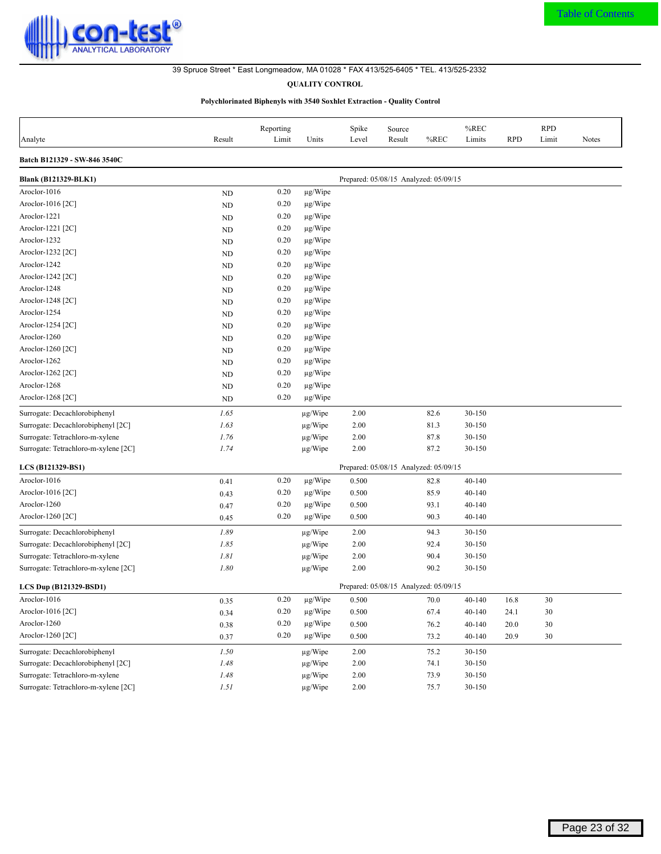<span id="page-23-0"></span>

## **QUALITY CONTROL**

#### **Polychlorinated Biphenyls with 3540 Soxhlet Extraction - Quality Control**

| Analyte                              | Result    | Reporting<br>Limit | Units        | Spike<br>Level | Source<br>Result                      | %REC | %REC<br>Limits | <b>RPD</b> | <b>RPD</b><br>Limit | <b>Notes</b> |
|--------------------------------------|-----------|--------------------|--------------|----------------|---------------------------------------|------|----------------|------------|---------------------|--------------|
| Batch B121329 - SW-846 3540C         |           |                    |              |                |                                       |      |                |            |                     |              |
| <b>Blank (B121329-BLK1)</b>          |           |                    |              |                | Prepared: 05/08/15 Analyzed: 05/09/15 |      |                |            |                     |              |
| Aroclor-1016                         | <b>ND</b> | 0.20               | $\mu$ g/Wipe |                |                                       |      |                |            |                     |              |
| Aroclor-1016 $[2C]$                  | ND        | 0.20               | $\mu$ g/Wipe |                |                                       |      |                |            |                     |              |
| Aroclor-1221                         | <b>ND</b> | 0.20               | $\mu$ g/Wipe |                |                                       |      |                |            |                     |              |
| Aroclor-1221 $[2C]$                  | ND        | 0.20               | $\mu$ g/Wipe |                |                                       |      |                |            |                     |              |
| Aroclor-1232                         | <b>ND</b> | 0.20               | $\mu$ g/Wipe |                |                                       |      |                |            |                     |              |
| Aroclor-1232 [2C]                    | <b>ND</b> | 0.20               | $\mu$ g/Wipe |                |                                       |      |                |            |                     |              |
| Aroclor-1242                         | ND        | 0.20               | $\mu$ g/Wipe |                |                                       |      |                |            |                     |              |
| Aroclor-1242 $[2C]$                  | <b>ND</b> | 0.20               | $\mu$ g/Wipe |                |                                       |      |                |            |                     |              |
| Aroclor-1248                         | ND        | 0.20               | $\mu$ g/Wipe |                |                                       |      |                |            |                     |              |
| Aroclor-1248 [2C]                    | ND        | 0.20               | $\mu$ g/Wipe |                |                                       |      |                |            |                     |              |
| Aroclor-1254                         | <b>ND</b> | 0.20               | $\mu$ g/Wipe |                |                                       |      |                |            |                     |              |
| Aroclor-1254 [2C]                    | ND        | 0.20               | $\mu$ g/Wipe |                |                                       |      |                |            |                     |              |
| Aroclor-1260                         | <b>ND</b> | 0.20               | $\mu$ g/Wipe |                |                                       |      |                |            |                     |              |
| Aroclor-1260 [2C]                    | <b>ND</b> | 0.20               | $\mu$ g/Wipe |                |                                       |      |                |            |                     |              |
| Aroclor-1262                         | <b>ND</b> | 0.20               | $\mu$ g/Wipe |                |                                       |      |                |            |                     |              |
| Aroclor-1262 [2C]                    | <b>ND</b> | 0.20               | $\mu$ g/Wipe |                |                                       |      |                |            |                     |              |
| Aroclor-1268                         | ND        | 0.20               | $\mu$ g/Wipe |                |                                       |      |                |            |                     |              |
| Aroclor-1268 [2C]                    | ND        | 0.20               | $\mu$ g/Wipe |                |                                       |      |                |            |                     |              |
| Surrogate: Decachlorobiphenyl        | 1.65      |                    | $\mu$ g/Wipe | 2.00           |                                       | 82.6 | 30-150         |            |                     |              |
| Surrogate: Decachlorobiphenyl [2C]   | 1.63      |                    | $\mu$ g/Wipe | 2.00           |                                       | 81.3 | 30-150         |            |                     |              |
| Surrogate: Tetrachloro-m-xylene      | 1.76      |                    | $\mu$ g/Wipe | 2.00           |                                       | 87.8 | 30-150         |            |                     |              |
| Surrogate: Tetrachloro-m-xylene [2C] | 1.74      |                    | $\mu$ g/Wipe | 2.00           |                                       | 87.2 | 30-150         |            |                     |              |
| LCS (B121329-BS1)                    |           |                    |              |                | Prepared: 05/08/15 Analyzed: 05/09/15 |      |                |            |                     |              |
| Aroclor-1016                         | 0.41      | 0.20               | $\mu$ g/Wipe | 0.500          |                                       | 82.8 | 40-140         |            |                     |              |
| Aroclor-1016 [2C]                    | 0.43      | 0.20               | $\mu$ g/Wipe | 0.500          |                                       | 85.9 | 40-140         |            |                     |              |
| Aroclor-1260                         | 0.47      | 0.20               | $\mu$ g/Wipe | 0.500          |                                       | 93.1 | 40-140         |            |                     |              |
| Aroclor-1260 [2C]                    | 0.45      | 0.20               | $\mu$ g/Wipe | 0.500          |                                       | 90.3 | 40-140         |            |                     |              |
| Surrogate: Decachlorobiphenyl        | 1.89      |                    | $\mu$ g/Wipe | 2.00           |                                       | 94.3 | 30-150         |            |                     |              |
| Surrogate: Decachlorobiphenyl [2C]   | 1.85      |                    | $\mu$ g/Wipe | 2.00           |                                       | 92.4 | 30-150         |            |                     |              |
| Surrogate: Tetrachloro-m-xylene      | 1.81      |                    | $\mu$ g/Wipe | 2.00           |                                       | 90.4 | 30-150         |            |                     |              |
| Surrogate: Tetrachloro-m-xylene [2C] | 1.80      |                    | $\mu$ g/Wipe | 2.00           |                                       | 90.2 | 30-150         |            |                     |              |
| LCS Dup (B121329-BSD1)               |           |                    |              |                | Prepared: 05/08/15 Analyzed: 05/09/15 |      |                |            |                     |              |
| Aroclor-1016                         | 0.35      | 0.20               | $\mu$ g/Wipe | 0.500          |                                       | 70.0 | 40-140         | 16.8       | 30                  |              |
| Aroclor-1016 [2C]                    | 0.34      | 0.20               | $\mu$ g/Wipe | 0.500          |                                       | 67.4 | $40 - 140$     | 24.1       | $30\,$              |              |
| Aroclor-1260                         | 0.38      | $0.20\,$           | $\mu$ g/Wipe | 0.500          |                                       | 76.2 | 40-140         | 20.0       | $30\,$              |              |
| Aroclor-1260 [2C]                    | 0.37      | 0.20               | $\mu$ g/Wipe | 0.500          |                                       | 73.2 | 40-140         | 20.9       | $30\,$              |              |
| Surrogate: Decachlorobiphenyl        | 1.50      |                    | $\mu$ g/Wipe | 2.00           |                                       | 75.2 | 30-150         |            |                     |              |
| Surrogate: Decachlorobiphenyl [2C]   | 1.48      |                    | $\mu$ g/Wipe | 2.00           |                                       | 74.1 | 30-150         |            |                     |              |
| Surrogate: Tetrachloro-m-xylene      | 1.48      |                    | $\mu$ g/Wipe | 2.00           |                                       | 73.9 | 30-150         |            |                     |              |
| Surrogate: Tetrachloro-m-xylene [2C] | 1.51      |                    | µg/Wipe      | 2.00           |                                       | 75.7 | 30-150         |            |                     |              |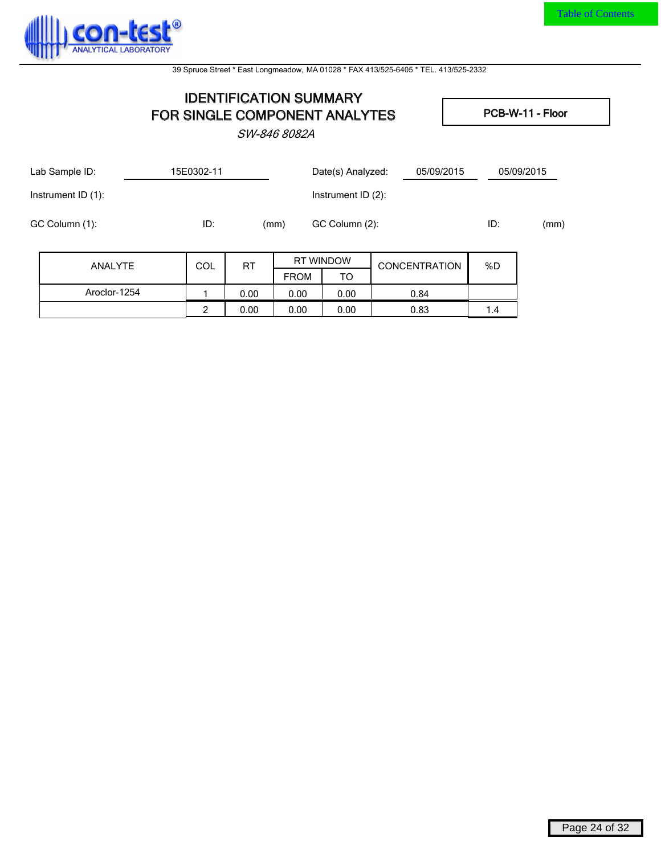<span id="page-24-0"></span>

## **IDENTIFICATION SUMMARY FOR SINGLE COMPONENT ANALYTES** PCB-W-11 - Floor

**SW-846 8082A**

| Lab Sample ID:     |                | 15E0302-11 |           |             | Date(s) Analyzed:     | 05/09/2015           |     | 05/09/2015 |
|--------------------|----------------|------------|-----------|-------------|-----------------------|----------------------|-----|------------|
| Instrument ID (1): |                |            |           |             | Instrument ID $(2)$ : |                      |     |            |
| GC Column (1):     |                | ID:        |           | (mm)        | GC Column (2):        |                      | ID: | (mm)       |
|                    | <b>ANALYTE</b> | COL        | <b>RT</b> |             | <b>RT WINDOW</b>      | <b>CONCENTRATION</b> | %D  |            |
|                    |                |            |           | <b>FROM</b> | TO                    |                      |     |            |
|                    | Aroclor-1254   |            | 0.00      | 0.00        | 0.00                  | 0.84                 |     |            |
|                    |                | 2          | 0.00      | 0.00        | 0.00                  | 0.83                 | 1.4 |            |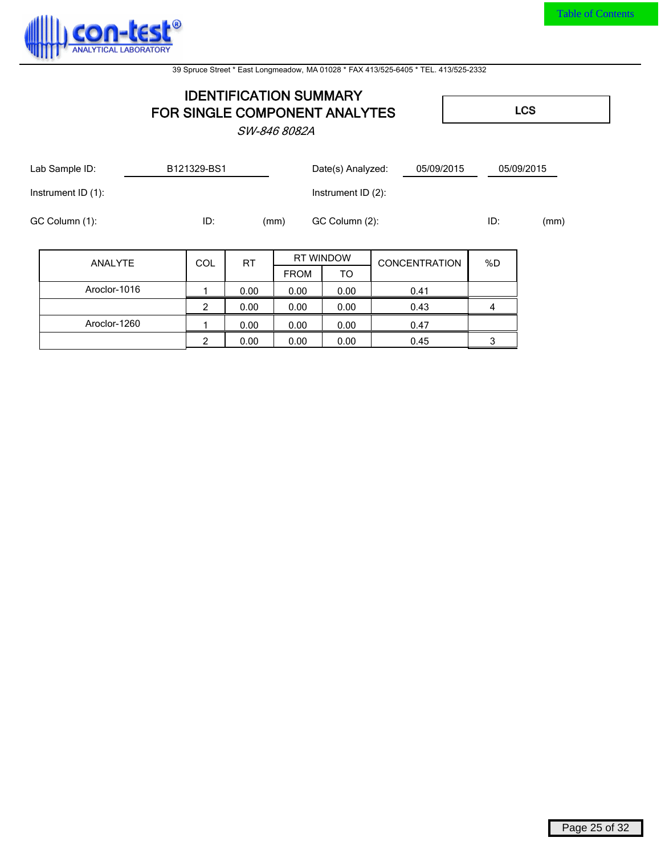

# **IDENTIFICATION SUMMARY FOR SINGLE COMPONENT ANALYTES LCS**

**SW-846 8082A**

|                | Lab Sample ID:     |  | B121329-BS1 |           |             | Date(s) Analyzed:     | 05/09/2015           |     | 05/09/2015 |
|----------------|--------------------|--|-------------|-----------|-------------|-----------------------|----------------------|-----|------------|
|                | Instrument ID (1): |  |             |           |             | Instrument ID $(2)$ : |                      |     |            |
| GC Column (1): |                    |  | ID:         |           | (mm)        | GC Column (2):        |                      | ID: | (mm)       |
|                | ANALYTE            |  | <b>COL</b>  | <b>RT</b> |             | <b>RT WINDOW</b>      | <b>CONCENTRATION</b> | %D  |            |
|                |                    |  |             |           | <b>FROM</b> | TO                    |                      |     |            |
|                | Aroclor-1016       |  |             | 0.00      | 0.00        | 0.00                  | 0.41                 |     |            |
|                |                    |  | 2           | 0.00      | 0.00        | 0.00                  | 0.43                 | 4   |            |
|                | Aroclor-1260       |  |             | 0.00      | 0.00        | 0.00                  | 0.47                 |     |            |
|                |                    |  | 2           | 0.00      | 0.00        | 0.00                  | 0.45                 | 3   |            |

Page 25 of 32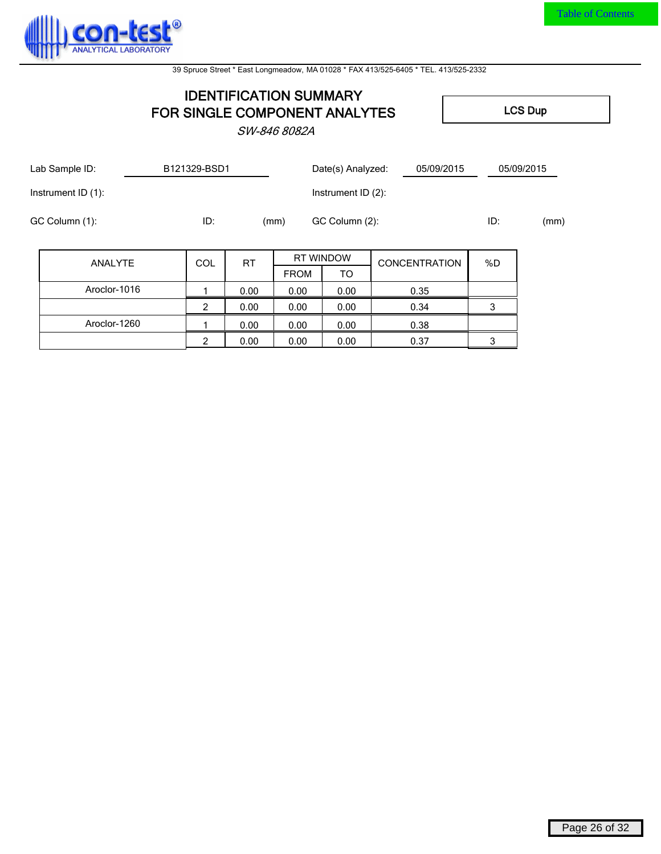

## **IDENTIFICATION SUMMARY FOR SINGLE COMPONENT ANALYTES** LCS Dup

**SW-846 8082A**

| Lab Sample ID: |                    | B121329-BSD1  |           |             | Date(s) Analyzed:<br>05/09/2015 |                      | 05/09/2015 |      |
|----------------|--------------------|---------------|-----------|-------------|---------------------------------|----------------------|------------|------|
|                | Instrument ID (1): |               |           |             | Instrument ID (2):              |                      |            |      |
|                | GC Column (1):     | ID:           |           | (mm)        | GC Column (2):                  |                      | ID:        | (mm) |
|                | ANALYTE            | COL           | <b>RT</b> |             | <b>RT WINDOW</b>                | <b>CONCENTRATION</b> | %D         |      |
|                |                    |               |           | <b>FROM</b> | TO                              |                      |            |      |
|                | Aroclor-1016       |               | 0.00      | 0.00        | 0.00                            | 0.35                 |            |      |
|                |                    | $\mathcal{P}$ | 0.00      | 0.00        | 0.00                            | 0.34                 | 3          |      |
|                | Aroclor-1260       |               | 0.00      | 0.00        | 0.00                            | 0.38                 |            |      |
|                |                    | 2             | 0.00      | 0.00        | 0.00                            | 0.37                 | 3          |      |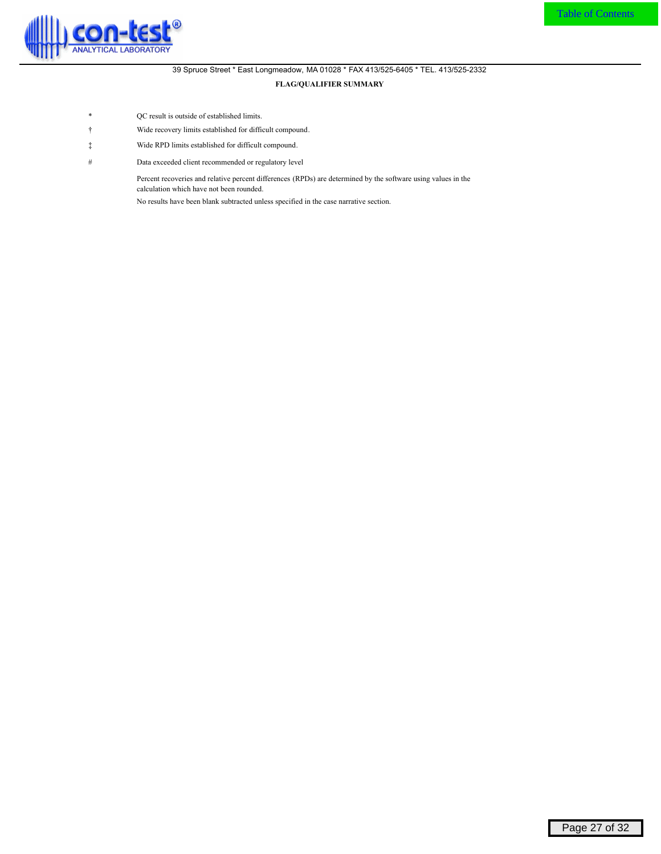<span id="page-27-0"></span>

#### 39 Spruce Street \* East Longmeadow, MA 01028 \* FAX 413/525-6405 \* TEL. 413/525-2332 **FLAG/QUALIFIER SUMMARY**

- \* QC result is outside of established limits.
- Ü Wide recovery limits established for difficult compound.
- á Wide RPD limits established for difficult compound.
- # Data exceeded client recommended or regulatory level

Percent recoveries and relative percent differences (RPDs) are determined by the software using values in the calculation which have not been rounded.

No results have been blank subtracted unless specified in the case narrative section.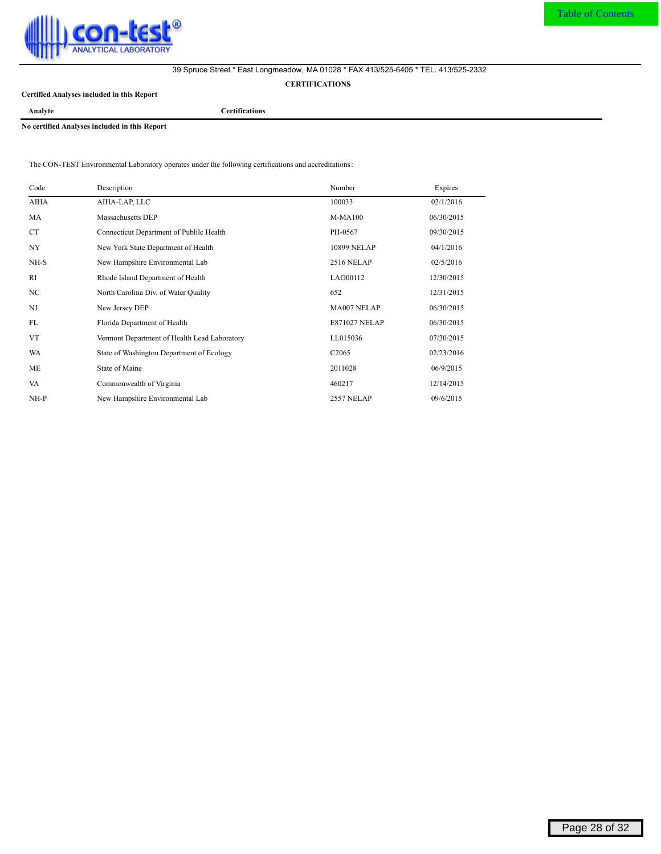<span id="page-28-0"></span>

**CERTIFICATIONS**

**Certified Analyses included in this Report**

**Analyte Certifications**

**No certified Analyses included in this Report**

The CON-TEST Environmental Laboratory operates under the following certifications and accreditations:

| Code           | Description                                  | Number               | Expires    |
|----------------|----------------------------------------------|----------------------|------------|
| <b>AIHA</b>    | AIHA-LAP, LLC                                | 100033               | 02/1/2016  |
| MA             | Massachusetts DEP                            | $M-MA100$            | 06/30/2015 |
| <b>CT</b>      | Connecticut Department of Publile Health     | PH-0567              | 09/30/2015 |
| NY <sub></sub> | New York State Department of Health          | 10899 NELAP          | 04/1/2016  |
| NH-S           | New Hampshire Environmental Lab              | <b>2516 NELAP</b>    | 02/5/2016  |
| RI.            | Rhode Island Department of Health            | LAO00112             | 12/30/2015 |
| NC             | North Carolina Div. of Water Quality         | 652                  | 12/31/2015 |
| NJ             | New Jersey DEP                               | MA007 NELAP          | 06/30/2015 |
| FL             | Florida Department of Health                 | <b>E871027 NELAP</b> | 06/30/2015 |
| <b>VT</b>      | Vermont Department of Health Lead Laboratory | LL015036             | 07/30/2015 |
| WA             | State of Washington Department of Ecology    | C <sub>2065</sub>    | 02/23/2016 |
| ME             | State of Maine                               | 2011028              | 06/9/2015  |
| VA             | Commonwealth of Virginia                     | 460217               | 12/14/2015 |
| $NH-P$         | New Hampshire Environmental Lab              | <b>2557 NELAP</b>    | 09/6/2015  |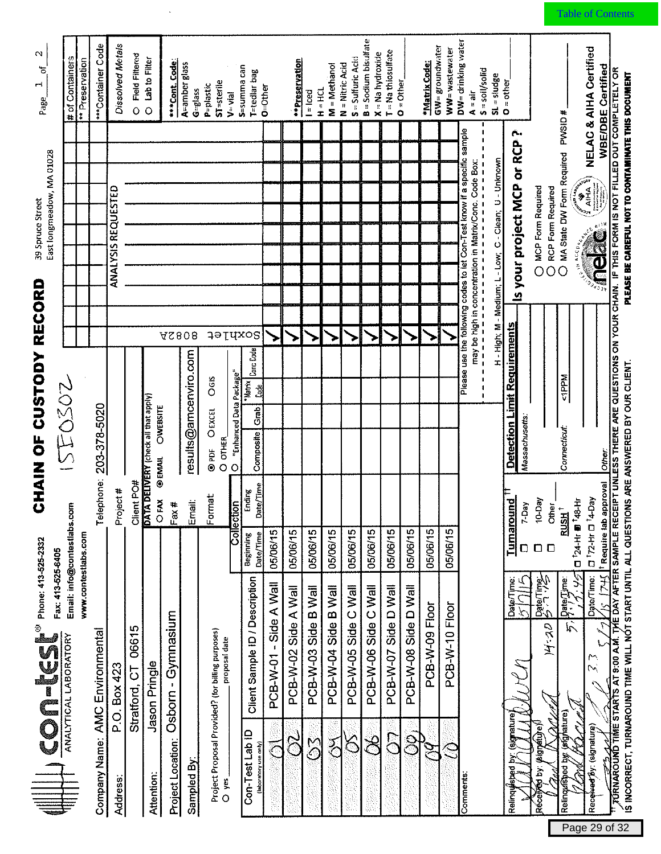<span id="page-29-0"></span>

| $\mathbf{\Omega}$<br>5<br>r-i<br>Page<br>East longmeadow, MA 01028<br>39 Spruce Street<br>CHAIN OF CUSTODY RECORD                                                       | # of Containers<br>ISEO302  | ** Preservation     | ***Container Code<br>203-378-5020 | Dissolved Metals<br>ANALYSIS REQUESTED | <b>Field Filtered</b><br>$\circ$                          | Lab to Filter<br>$\circ$ | ***Cont. Code<br>OWEBSITE     | A=amber glass<br>$G=g$ lass<br><b>AS808</b><br>results@amcenviro.com | <b>ST-sterile</b><br>P=plastic<br>OGIS<br><b>OEXCEL</b> | $V = V$ ial<br>O "Enhanced Data Package"<br>O OTHER | S=summa can<br>T=tedlar bag<br>derdxos<br>Canc Code<br><b>Matrix</b><br>Lade<br>Grab<br>Composite | <b>O=Other</b>           | ** Preservation      | $H = HCl$<br>$l = led$ | M = Methanol         | $S =$ Sulfuric Acid<br>$N =$ Nitric Acid | <b>B</b> = Sodium bisulfate<br>$X = Na$ hydroxide | $T = Na$ thiosulfate | $O =$ Other          | *Matrix Code:  | $GW =$ groundwater<br>WW=wastewater | DW= drinking water<br>S = soil/solid<br>$A = a$ ir<br>Please use the following codes to let Con-Test know if a specific sample<br>1<br>$\pmb{\mathsf{I}}$<br>П<br>$\begin{array}{c} \n 1 \\ 1 \\ 1\n \end{array}$<br>$\mathbf{I}$<br>$\blacksquare$<br>$\pmb{\mathsf{I}}$<br>$\mathbf{I}$ | $SL = sludge$<br>$O =$ other<br>H - High; M - Medium; L - Low; C - Clean; U - Unknown | Is your project MCP or RCP?<br><b>Detection Limit Requirements</b><br>Massachusetts: | O MCP Form Required<br>O RCP Form Required    | O MA State DW Form Required PWSID #<br><b>SALLANTON</b><br><b>CONSTRUCTION</b><br><b>Nddl</b> ><br><b>Connecticut</b> | <b>NELAC &amp; AIHA Certified</b><br><b>WBE/DBE Certified</b><br>$\mathbf{a}^{\dagger \dagger \mathbf{H}}$<br>୍ଚି |
|-------------------------------------------------------------------------------------------------------------------------------------------------------------------------|-----------------------------|---------------------|-----------------------------------|----------------------------------------|-----------------------------------------------------------|--------------------------|-------------------------------|----------------------------------------------------------------------|---------------------------------------------------------|-----------------------------------------------------|---------------------------------------------------------------------------------------------------|--------------------------|----------------------|------------------------|----------------------|------------------------------------------|---------------------------------------------------|----------------------|----------------------|----------------|-------------------------------------|-------------------------------------------------------------------------------------------------------------------------------------------------------------------------------------------------------------------------------------------------------------------------------------------|---------------------------------------------------------------------------------------|--------------------------------------------------------------------------------------|-----------------------------------------------|-----------------------------------------------------------------------------------------------------------------------|-------------------------------------------------------------------------------------------------------------------|
|                                                                                                                                                                         |                             |                     | Telephone:                        | Project #                              | Client PO#<br><b>DATA DELIVERY</b> (check all that apply) |                          | <b>OEMAIL</b><br>OFAX<br>Fax# | Email:                                                               | Format:                                                 | Collection                                          | Date/Time<br>Ending<br>Beginning<br>Date/Time                                                     | 05/06/15                 | 05/06/15             | 05/06/15               | 05/06/15             | 05/06/15                                 | 05/06/15                                          | 05/06/15             | 05/06/15             | 05/06/15       | 05/06/15                            |                                                                                                                                                                                                                                                                                           |                                                                                       | <b>Tumaround</b><br>7-Day<br>$\Box$                                                  | 10-Day<br><b>Other</b><br>$\Box$              | $1^{124-H}$ <b>B</b> <sup>1</sup> 48-H<br>$\ddot{}$<br><b>RUSH</b>                                                    | <sup>†</sup> Require lab approval<br>$U^{\dagger}72\text{-Hr}U^{\dagger}4\text{-Day}$                             |
| $\bigotimes_{\mathsf{ANALYTICALIABORATORY}} \bigotimes_{\mathsf{Fax.413\cdot 525\cdot 5405}} \mathsf{Fax.413\cdot 525\cdot 5405}} \mathsf{Fax.413\cdot 525\cdot 5405}}$ | Email: info@contestlabs.com | www.contestlabs.com |                                   | Box 423                                | 06615<br>5<br>Stratford,                                  | Jason Pringle            | Osborn - Gymnasium            |                                                                      |                                                         | proposal date                                       | Client Sample ID / Description                                                                    | Side A Wall<br>PCB-W-01- | PCB-W-02 Side A Wall | PCB-W-03 Side B Wall   | PCB-W-04 Side B Wall | PCB-W-05 Side C Wall                     | PCB-W-06 Side C Wall                              | PCB-W-07 Side D Wall | PCB-W-08 Side D Wall | PCB-W-09 Floor | PCB-W-10 Floor                      |                                                                                                                                                                                                                                                                                           |                                                                                       | Date/Time<br>F.                                                                      | <b>Sdieling</b><br>$\mathcal{U}: \mathcal{H}$ | ふう<br>$\left[\mathsf{P}_{i}\right]$<br>$\bar{\kappa}$                                                                 | $E_{\rm k2}$<br>Date/Time:<br>$\mathcal{E}$                                                                       |
|                                                                                                                                                                         |                             |                     | Company Name: AMC Environmental   | ن<br>نم<br><b>Address</b>              |                                                           | Attention:               | Project Location:             | Sampled By                                                           | Project Proposal Provided? (for billing purposes)       | O yes                                               | Con-Test Lab ID<br>(laboratory use only)                                                          |                          | S)                   | $\mathbb{S}^{\infty}$  | フ<br>C               | $\leftrightarrow$                        | $\Join$                                           | <b>S</b>             | <u>្ត</u>            |                |                                     | Comments                                                                                                                                                                                                                                                                                  |                                                                                       | signature<br>Relinquished                                                            | (eigreau)<br>A<br>iq pë<br>Récei              | Relinquished by: (signature)                                                                                          | Received By: (signature)                                                                                          |

 $\sim$ 

Page 29 of 32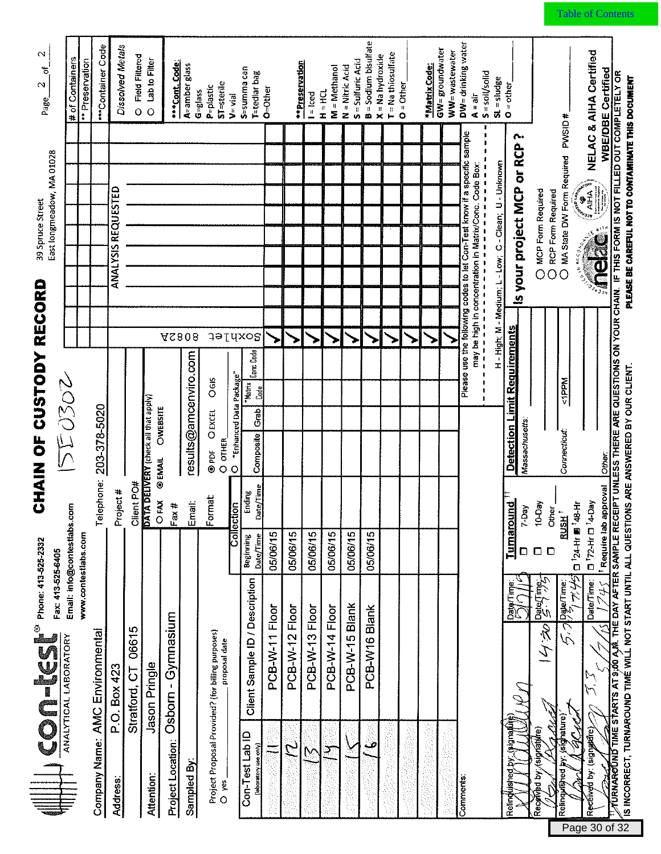| $\sim$<br>ð<br>$\mathbf{\sim}$<br>Page                   | # of Containers             | ** Preservation     | ***Container Code               | Dissolved Metals          | <b>Field Filtered</b><br>$\overline{O}$ | Lab to Filter<br>$\circ$                                  | ***Cont. Code:                            | A=amber glass<br>$G = g a$ ss | ST-sterile<br>P=plastic<br>$V = \nu$ ial                                        | S=summa can<br>T=tedlar bag                                                                | $o$ =Other     | **Preservation    | $=$ lced       | M = Methanol<br>$H = HCl$ | $S =$ Sulfuric Acid<br>$N =$ Nitric Acid | <b>B</b> = Sodium bisulfate | $T = Na$ thiosulfate<br>$X = Na$ hydroxide | $O =$ Other | *Matrix Code: | GW= groundwater<br>WW=wastewater | DW= drinking water<br>$A = air$                                                                                                    | $S =$ soil/solid<br>$SL = sludge$                                                                | $O = other$                                                                                                                      |                                            |                                        | <b>NELAC &amp; AIHA Certified</b><br>WBE/DBE Certified                                              |                                                                                                                                                                           |
|----------------------------------------------------------|-----------------------------|---------------------|---------------------------------|---------------------------|-----------------------------------------|-----------------------------------------------------------|-------------------------------------------|-------------------------------|---------------------------------------------------------------------------------|--------------------------------------------------------------------------------------------|----------------|-------------------|----------------|---------------------------|------------------------------------------|-----------------------------|--------------------------------------------|-------------|---------------|----------------------------------|------------------------------------------------------------------------------------------------------------------------------------|--------------------------------------------------------------------------------------------------|----------------------------------------------------------------------------------------------------------------------------------|--------------------------------------------|----------------------------------------|-----------------------------------------------------------------------------------------------------|---------------------------------------------------------------------------------------------------------------------------------------------------------------------------|
| East longmeadow, MA 01028<br>39 Spruce Street            |                             |                     |                                 | <b>ANALYSIS REQUESTED</b> |                                         |                                                           |                                           |                               |                                                                                 |                                                                                            |                |                   |                |                           |                                          |                             |                                            |             |               |                                  | Please use the following codes to let Con-Test know if a specific sample<br>may be high in concentration in Matrix/Conc. Code Box: | $\mathbf{I}$<br>H - High; M - Medium; L - Low; C - Clean; U - Unknown<br>,,,,,,,,,,,,,,,,,,,,,,, | Is your project MCP or RCP?                                                                                                      | O MCP Form Required<br>O RCP Form Required | O MA State DW Form Required PWSID#     | <b>CALLANDRIAN AND REAL PROPERTY</b>                                                                | EIPT UNLESS THERE ARE QUESTIONS ON YOUR CHAIN. IF THIS FORM IS NOT FILLED OUT COMPLETELY OR<br>PLEASE BE CAREFUL NOT TO CONTAMINATE THIS DOCUMENT                         |
| CHAIN OF CUSTODY RECORD                                  | 5502                        |                     | 203-378-5020                    |                           |                                         | Client PO#<br><b>DATA DELIVERY</b> (check all that apply) | <b>AS808</b><br>OWEBSITE<br><b>OEMAIL</b> | results@amcenviro.com         | <b>Soxhlet</b><br>O <sub>GIS</sub><br><b>OEXCEL</b><br>O OTHER<br>6P<br>$\circ$ | <b>Conc</b> Code<br>"Enhanced Data Package"<br>*Matrix<br><b>Code</b><br>Grab<br>Composite |                |                   |                |                           |                                          |                             |                                            |             |               |                                  | п                                                                                                                                  | $\begin{array}{c} 1 \\ 1 \\ 1 \end{array}$<br>$\pmb{\mathsf{I}}$<br>ı<br>$\mathbf{r}$            | Detection Limit Requirements<br>Massachusetts                                                                                    |                                            | $M$ dadi $>$<br><b>Connecticut</b>     | Other:                                                                                              |                                                                                                                                                                           |
|                                                          | Email: info@contestlabs.com |                     | Telephone:                      | Project #                 |                                         |                                                           | OFAX<br>Fax#                              | Email:                        | Format<br>łε<br>Collectic                                                       | Date/Time<br>Ending<br>Date/Time<br>Beginning                                              | 05/06/15       | 05/06/15          | 05/06/15       | 05/06/15                  | 05/06/15                                 | 05/06/15                    |                                            |             |               |                                  |                                                                                                                                    |                                                                                                  | ੂ<br>ਰੂ<br>$Y$ -Day<br><u>Turnarou</u><br>D                                                                                      | Other <sub>__</sub><br>10-Day<br>$\Box$    | FUSH <sup>+</sup>                      | <sup>1</sup> Require lab approval<br>D <sup>1</sup> 72-Hr D <sup>1</sup> 4-Day<br>□ 124-Hr 5 148-Hr |                                                                                                                                                                           |
| Phone: 413-525-2332<br>Fax: 413-525-6405<br><b>SPIGS</b> | ANALYTICAL LABORATORY       | www.contestlabs.com |                                 | P.O. Box 423              | 06615<br>Stratford, CT                  | Jason Pringle                                             | Gymnasium<br>Osborn                       |                               | Project Proposal Provided? (for biling purposes)<br>proposal date               | Client Sample ID / Description                                                             | PCB-W-11 Floor | PCB-W-12 Floor    | PCB-W-13 Floor | PCB-W-14 Floor            | PCB-W-15 Blank                           | PCB-W16 Blank               |                                            |             |               |                                  |                                                                                                                                    |                                                                                                  | $\frac{1}{\sqrt{2}}\left\{ \begin{array}{l} \frac{1}{\sqrt{2}} \\ \frac{1}{\sqrt{2}} \\ \frac{1}{\sqrt{2}} \end{array} \right\}$ | 34 Laied ind<br>ひょう                        | المنهوكميط<br>5                        | Date/Time:<br>745                                                                                   | IS INCORRECT, TURNAROUND TIMÉ WILL NOT START UNTIL ALL QUESTIONS ARE ANSWERED BY OUR CLIENT.<br>$\mathcal J$ urnaround time starts at 9;00 a,m. The DAY AFTER SAMPLE RECI |
|                                                          |                             |                     | Company Name: AMC Environmental | <b>Address</b>            |                                         | Attention:                                                | <b>Project Location:</b>                  | Sampled By:                   | O yes.                                                                          | Con-Test Lab ID<br>(łaboratory use only)                                                   |                | $\mathcal{L}_{1}$ |                | ⊃                         |                                          | م                           |                                            |             |               |                                  | Comments                                                                                                                           |                                                                                                  | meuniste)<br>Relind                                                                                                              | (signature)<br>Received by:                | (síghature)<br><b>Lished</b><br>Reling | ACM<br>Received by: (signatule)                                                                     |                                                                                                                                                                           |

Page 30 of 32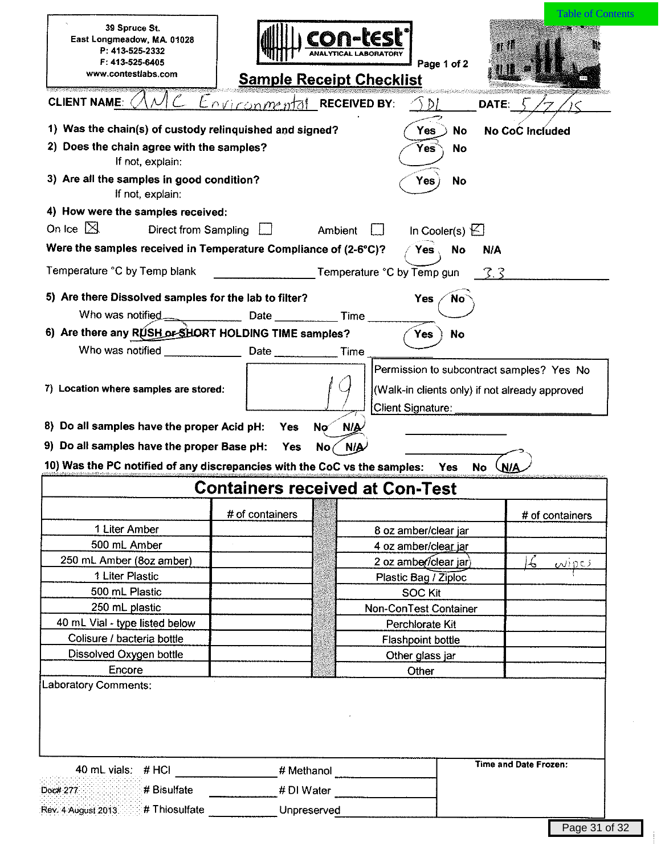| 39 Spruce St.<br>East Longmeadow, MA. 01028<br>P. 413-525-2332<br>$F: 413 - 525 - 6405$<br>www.contestlabs.com                    | <b>Sample Receipt Checklist</b>        | con-tesl                              |                                        | Page 1 of 2              | <b>Table of Contents</b><br>at II              |
|-----------------------------------------------------------------------------------------------------------------------------------|----------------------------------------|---------------------------------------|----------------------------------------|--------------------------|------------------------------------------------|
| <b>CLIENT NAME:</b>                                                                                                               | $Enviconment$ RECEIVED BY:             |                                       | .DI                                    |                          | DATE:                                          |
| 1) Was the chain(s) of custody relinquished and signed?                                                                           |                                        |                                       | Yes                                    | No                       | <b>No CoC Included</b>                         |
| 2) Does the chain agree with the samples?<br>If not, explain:                                                                     |                                        |                                       | Yes                                    | No                       |                                                |
| 3) Are all the samples in good condition?<br>If not, explain:                                                                     |                                        |                                       | Yes                                    | No                       |                                                |
| 4) How were the samples received:                                                                                                 |                                        |                                       |                                        |                          |                                                |
| On Ice $\mathbb{X}$<br>Direct from Sampling                                                                                       |                                        | Ambient                               |                                        | In Cooler(s) $\bigsqcup$ |                                                |
| Were the samples received in Temperature Compliance of (2-6°C)?                                                                   |                                        |                                       | <b>Yes</b>                             | <b>No</b>                | <b>N/A</b>                                     |
| Temperature °C by Temp blank                                                                                                      |                                        |                                       | Temperature °C by Temp gun             |                          | 3.3                                            |
|                                                                                                                                   |                                        |                                       |                                        |                          |                                                |
| 5) Are there Dissolved samples for the lab to filter?                                                                             |                                        |                                       | <b>Yes</b>                             | <b>No</b>                |                                                |
| Who was notified.                                                                                                                 | Date Time                              |                                       |                                        |                          |                                                |
| 6) Are there any RUSH or SHORT HOLDING TIME samples?                                                                              |                                        |                                       | Yes                                    | <b>No</b>                |                                                |
| Who was notified                                                                                                                  | Date                                   | Time                                  |                                        |                          |                                                |
| 7) Location where samples are stored:<br>8) Do all samples have the proper Acid pH:<br>9) Do all samples have the proper Base pH: | <b>Yes</b><br><b>Yes</b>               | <b>NIA</b><br>Nσ<br><b>N/A</b><br>No. | <b>Client Signature:</b>               |                          | (Walk-in clients only) if not already approved |
| 10) Was the PC notified of any discrepancies with the CoC vs the samples:                                                         |                                        |                                       |                                        | Yes<br>No                | <b>WA</b>                                      |
|                                                                                                                                   | <b>Containers received at Con-Test</b> |                                       |                                        |                          |                                                |
|                                                                                                                                   | # of containers                        |                                       |                                        |                          | # of containers                                |
| 1 Liter Amber                                                                                                                     |                                        |                                       | 8 oz amber/clear jar                   |                          |                                                |
| 500 mL Amber                                                                                                                      |                                        |                                       | 4 oz amber/clear jar                   |                          |                                                |
| 250 mL Amber (8oz amber)<br>1 Liter Plastic                                                                                       |                                        |                                       | 2 oz amber/clear jar)                  |                          | $\epsilon$<br>WIDCS                            |
| 500 mL Plastic                                                                                                                    |                                        |                                       | Plastic Bag / Ziploc<br><b>SOC Kit</b> |                          |                                                |
| 250 mL plastic                                                                                                                    |                                        |                                       | Non-ConTest Container                  |                          |                                                |
| 40 mL Vial - type listed below                                                                                                    |                                        |                                       | Perchlorate Kit                        |                          |                                                |
| Colisure / bacteria bottle                                                                                                        |                                        |                                       | <b>Flashpoint bottle</b>               |                          |                                                |
| Dissolved Oxygen bottle                                                                                                           |                                        |                                       | Other glass jar                        |                          |                                                |
| Encore                                                                                                                            |                                        |                                       | Other                                  |                          |                                                |
| Laboratory Comments:                                                                                                              |                                        |                                       |                                        |                          |                                                |
| 40 mL vials: # HCl                                                                                                                | # Methanol                             |                                       |                                        |                          | Time and Date Frozen:                          |
|                                                                                                                                   |                                        |                                       |                                        |                          |                                                |
| # Bisulfate<br>Doc# 277                                                                                                           | # DI Water                             |                                       |                                        |                          |                                                |
| Rev. 4 August 2013.<br># Thiosulfate                                                                                              |                                        | Unpreserved                           |                                        |                          |                                                |